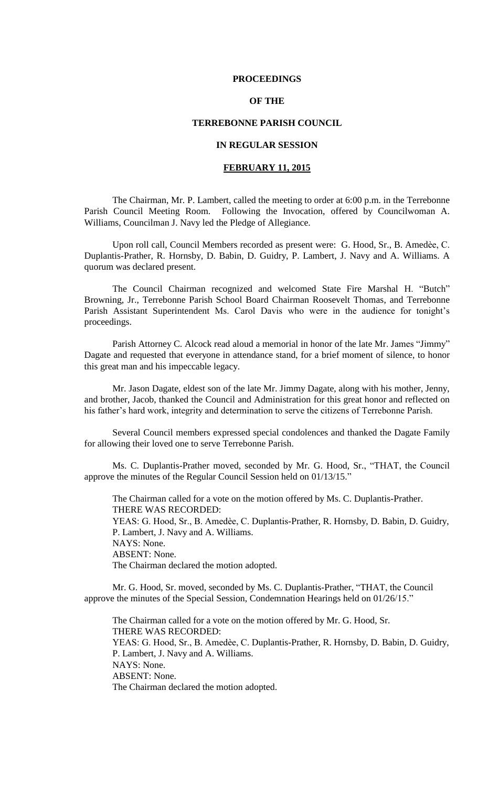### **PROCEEDINGS**

## **OF THE**

### **TERREBONNE PARISH COUNCIL**

## **IN REGULAR SESSION**

## **FEBRUARY 11, 2015**

The Chairman, Mr. P. Lambert, called the meeting to order at 6:00 p.m. in the Terrebonne Parish Council Meeting Room. Following the Invocation, offered by Councilwoman A. Williams, Councilman J. Navy led the Pledge of Allegiance.

Upon roll call, Council Members recorded as present were: G. Hood, Sr., B. Amedѐe, C. Duplantis-Prather, R. Hornsby, D. Babin, D. Guidry, P. Lambert, J. Navy and A. Williams. A quorum was declared present.

The Council Chairman recognized and welcomed State Fire Marshal H. "Butch" Browning, Jr., Terrebonne Parish School Board Chairman Roosevelt Thomas, and Terrebonne Parish Assistant Superintendent Ms. Carol Davis who were in the audience for tonight's proceedings.

Parish Attorney C. Alcock read aloud a memorial in honor of the late Mr. James "Jimmy" Dagate and requested that everyone in attendance stand, for a brief moment of silence, to honor this great man and his impeccable legacy.

Mr. Jason Dagate, eldest son of the late Mr. Jimmy Dagate, along with his mother, Jenny, and brother, Jacob, thanked the Council and Administration for this great honor and reflected on his father's hard work, integrity and determination to serve the citizens of Terrebonne Parish.

Several Council members expressed special condolences and thanked the Dagate Family for allowing their loved one to serve Terrebonne Parish.

Ms. C. Duplantis-Prather moved, seconded by Mr. G. Hood, Sr., "THAT, the Council approve the minutes of the Regular Council Session held on 01/13/15."

The Chairman called for a vote on the motion offered by Ms. C. Duplantis-Prather. THERE WAS RECORDED:

YEAS: G. Hood, Sr., B. Amedèe, C. Duplantis-Prather, R. Hornsby, D. Babin, D. Guidry, P. Lambert, J. Navy and A. Williams. NAYS: None.

ABSENT: None.

The Chairman declared the motion adopted.

Mr. G. Hood, Sr. moved, seconded by Ms. C. Duplantis-Prather, "THAT, the Council approve the minutes of the Special Session, Condemnation Hearings held on 01/26/15."

The Chairman called for a vote on the motion offered by Mr. G. Hood, Sr. THERE WAS RECORDED: YEAS: G. Hood, Sr., B. Amedèe, C. Duplantis-Prather, R. Hornsby, D. Babin, D. Guidry, P. Lambert, J. Navy and A. Williams. NAYS: None. ABSENT: None. The Chairman declared the motion adopted.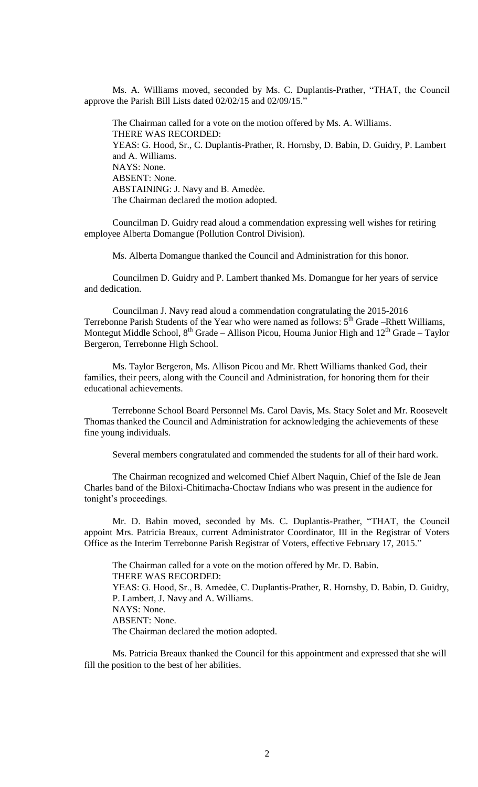Ms. A. Williams moved, seconded by Ms. C. Duplantis-Prather, "THAT, the Council approve the Parish Bill Lists dated 02/02/15 and 02/09/15."

The Chairman called for a vote on the motion offered by Ms. A. Williams. THERE WAS RECORDED: YEAS: G. Hood, Sr., C. Duplantis-Prather, R. Hornsby, D. Babin, D. Guidry, P. Lambert and A. Williams. NAYS: None. ABSENT: None. ABSTAINING: J. Navy and B. Amedèe. The Chairman declared the motion adopted.

Councilman D. Guidry read aloud a commendation expressing well wishes for retiring employee Alberta Domangue (Pollution Control Division).

Ms. Alberta Domangue thanked the Council and Administration for this honor.

Councilmen D. Guidry and P. Lambert thanked Ms. Domangue for her years of service and dedication.

Councilman J. Navy read aloud a commendation congratulating the 2015-2016 Terrebonne Parish Students of the Year who were named as follows:  $5<sup>th</sup>$  Grade –Rhett Williams, Montegut Middle School,  $8<sup>th</sup>$  Grade – Allison Picou, Houma Junior High and  $12<sup>th</sup>$  Grade – Taylor Bergeron, Terrebonne High School.

Ms. Taylor Bergeron, Ms. Allison Picou and Mr. Rhett Williams thanked God, their families, their peers, along with the Council and Administration, for honoring them for their educational achievements.

Terrebonne School Board Personnel Ms. Carol Davis, Ms. Stacy Solet and Mr. Roosevelt Thomas thanked the Council and Administration for acknowledging the achievements of these fine young individuals.

Several members congratulated and commended the students for all of their hard work.

The Chairman recognized and welcomed Chief Albert Naquin, Chief of the Isle de Jean Charles band of the Biloxi-Chitimacha-Choctaw Indians who was present in the audience for tonight's proceedings.

Mr. D. Babin moved, seconded by Ms. C. Duplantis-Prather, "THAT, the Council appoint Mrs. Patricia Breaux, current Administrator Coordinator, III in the Registrar of Voters Office as the Interim Terrebonne Parish Registrar of Voters, effective February 17, 2015."

The Chairman called for a vote on the motion offered by Mr. D. Babin. THERE WAS RECORDED: YEAS: G. Hood, Sr., B. Amedèe, C. Duplantis-Prather, R. Hornsby, D. Babin, D. Guidry, P. Lambert, J. Navy and A. Williams. NAYS: None. ABSENT: None. The Chairman declared the motion adopted.

Ms. Patricia Breaux thanked the Council for this appointment and expressed that she will fill the position to the best of her abilities.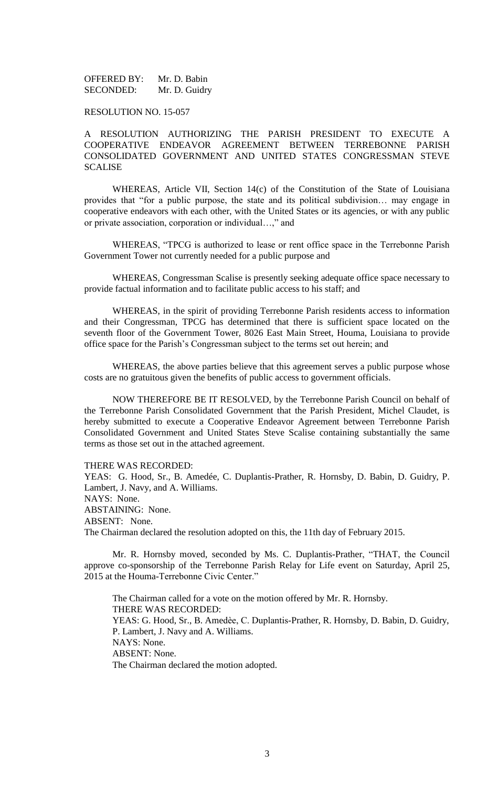OFFERED BY: Mr. D. Babin SECONDED: Mr. D. Guidry

### RESOLUTION NO. 15-057

A RESOLUTION AUTHORIZING THE PARISH PRESIDENT TO EXECUTE A COOPERATIVE ENDEAVOR AGREEMENT BETWEEN TERREBONNE PARISH CONSOLIDATED GOVERNMENT AND UNITED STATES CONGRESSMAN STEVE SCALISE

WHEREAS, Article VII, Section 14(c) of the Constitution of the State of Louisiana provides that "for a public purpose, the state and its political subdivision… may engage in cooperative endeavors with each other, with the United States or its agencies, or with any public or private association, corporation or individual…," and

WHEREAS, "TPCG is authorized to lease or rent office space in the Terrebonne Parish Government Tower not currently needed for a public purpose and

WHEREAS, Congressman Scalise is presently seeking adequate office space necessary to provide factual information and to facilitate public access to his staff; and

WHEREAS, in the spirit of providing Terrebonne Parish residents access to information and their Congressman, TPCG has determined that there is sufficient space located on the seventh floor of the Government Tower, 8026 East Main Street, Houma, Louisiana to provide office space for the Parish's Congressman subject to the terms set out herein; and

WHEREAS, the above parties believe that this agreement serves a public purpose whose costs are no gratuitous given the benefits of public access to government officials.

NOW THEREFORE BE IT RESOLVED, by the Terrebonne Parish Council on behalf of the Terrebonne Parish Consolidated Government that the Parish President, Michel Claudet, is hereby submitted to execute a Cooperative Endeavor Agreement between Terrebonne Parish Consolidated Government and United States Steve Scalise containing substantially the same terms as those set out in the attached agreement.

#### THERE WAS RECORDED:

YEAS: G. Hood, Sr., B. Amedée, C. Duplantis-Prather, R. Hornsby, D. Babin, D. Guidry, P. Lambert, J. Navy, and A. Williams. NAYS: None. ABSTAINING: None. ABSENT: None. The Chairman declared the resolution adopted on this, the 11th day of February 2015.

Mr. R. Hornsby moved, seconded by Ms. C. Duplantis-Prather, "THAT, the Council approve co-sponsorship of the Terrebonne Parish Relay for Life event on Saturday, April 25, 2015 at the Houma-Terrebonne Civic Center."

The Chairman called for a vote on the motion offered by Mr. R. Hornsby. THERE WAS RECORDED: YEAS: G. Hood, Sr., B. Amedèe, C. Duplantis-Prather, R. Hornsby, D. Babin, D. Guidry, P. Lambert, J. Navy and A. Williams. NAYS: None. ABSENT: None. The Chairman declared the motion adopted.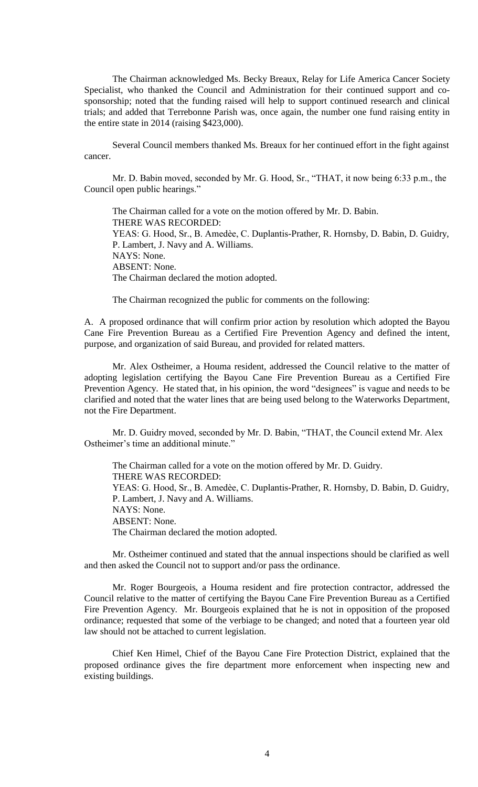The Chairman acknowledged Ms. Becky Breaux, Relay for Life America Cancer Society Specialist, who thanked the Council and Administration for their continued support and cosponsorship; noted that the funding raised will help to support continued research and clinical trials; and added that Terrebonne Parish was, once again, the number one fund raising entity in the entire state in 2014 (raising \$423,000).

Several Council members thanked Ms. Breaux for her continued effort in the fight against cancer.

Mr. D. Babin moved, seconded by Mr. G. Hood, Sr., "THAT, it now being 6:33 p.m., the Council open public hearings."

The Chairman called for a vote on the motion offered by Mr. D. Babin. THERE WAS RECORDED: YEAS: G. Hood, Sr., B. Amedèe, C. Duplantis-Prather, R. Hornsby, D. Babin, D. Guidry, P. Lambert, J. Navy and A. Williams. NAYS: None. ABSENT: None. The Chairman declared the motion adopted.

The Chairman recognized the public for comments on the following:

A. A proposed ordinance that will confirm prior action by resolution which adopted the Bayou Cane Fire Prevention Bureau as a Certified Fire Prevention Agency and defined the intent, purpose, and organization of said Bureau, and provided for related matters.

Mr. Alex Ostheimer, a Houma resident, addressed the Council relative to the matter of adopting legislation certifying the Bayou Cane Fire Prevention Bureau as a Certified Fire Prevention Agency. He stated that, in his opinion, the word "designees" is vague and needs to be clarified and noted that the water lines that are being used belong to the Waterworks Department, not the Fire Department.

Mr. D. Guidry moved, seconded by Mr. D. Babin, "THAT, the Council extend Mr. Alex Ostheimer's time an additional minute."

The Chairman called for a vote on the motion offered by Mr. D. Guidry. THERE WAS RECORDED: YEAS: G. Hood, Sr., B. Amedèe, C. Duplantis-Prather, R. Hornsby, D. Babin, D. Guidry, P. Lambert, J. Navy and A. Williams. NAYS: None. ABSENT: None. The Chairman declared the motion adopted.

Mr. Ostheimer continued and stated that the annual inspections should be clarified as well and then asked the Council not to support and/or pass the ordinance.

Mr. Roger Bourgeois, a Houma resident and fire protection contractor, addressed the Council relative to the matter of certifying the Bayou Cane Fire Prevention Bureau as a Certified Fire Prevention Agency. Mr. Bourgeois explained that he is not in opposition of the proposed ordinance; requested that some of the verbiage to be changed; and noted that a fourteen year old law should not be attached to current legislation.

Chief Ken Himel, Chief of the Bayou Cane Fire Protection District, explained that the proposed ordinance gives the fire department more enforcement when inspecting new and existing buildings.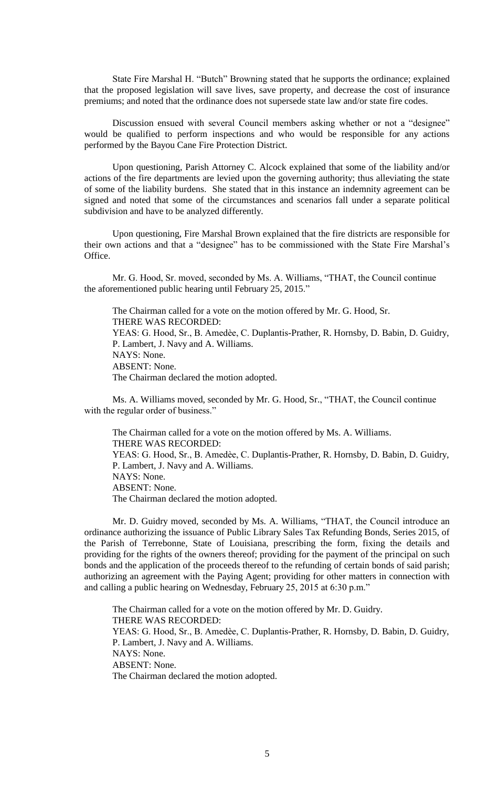State Fire Marshal H. "Butch" Browning stated that he supports the ordinance; explained that the proposed legislation will save lives, save property, and decrease the cost of insurance premiums; and noted that the ordinance does not supersede state law and/or state fire codes.

Discussion ensued with several Council members asking whether or not a "designee" would be qualified to perform inspections and who would be responsible for any actions performed by the Bayou Cane Fire Protection District.

Upon questioning, Parish Attorney C. Alcock explained that some of the liability and/or actions of the fire departments are levied upon the governing authority; thus alleviating the state of some of the liability burdens. She stated that in this instance an indemnity agreement can be signed and noted that some of the circumstances and scenarios fall under a separate political subdivision and have to be analyzed differently.

Upon questioning, Fire Marshal Brown explained that the fire districts are responsible for their own actions and that a "designee" has to be commissioned with the State Fire Marshal's Office.

Mr. G. Hood, Sr. moved, seconded by Ms. A. Williams, "THAT, the Council continue the aforementioned public hearing until February 25, 2015."

The Chairman called for a vote on the motion offered by Mr. G. Hood, Sr. THERE WAS RECORDED: YEAS: G. Hood, Sr., B. Amedèe, C. Duplantis-Prather, R. Hornsby, D. Babin, D. Guidry, P. Lambert, J. Navy and A. Williams. NAYS: None. ABSENT: None. The Chairman declared the motion adopted.

Ms. A. Williams moved, seconded by Mr. G. Hood, Sr., "THAT, the Council continue with the regular order of business."

The Chairman called for a vote on the motion offered by Ms. A. Williams. THERE WAS RECORDED: YEAS: G. Hood, Sr., B. Amedèe, C. Duplantis-Prather, R. Hornsby, D. Babin, D. Guidry, P. Lambert, J. Navy and A. Williams. NAYS: None. ABSENT: None. The Chairman declared the motion adopted.

Mr. D. Guidry moved, seconded by Ms. A. Williams, "THAT, the Council introduce an ordinance authorizing the issuance of Public Library Sales Tax Refunding Bonds, Series 2015, of the Parish of Terrebonne, State of Louisiana, prescribing the form, fixing the details and providing for the rights of the owners thereof; providing for the payment of the principal on such bonds and the application of the proceeds thereof to the refunding of certain bonds of said parish; authorizing an agreement with the Paying Agent; providing for other matters in connection with and calling a public hearing on Wednesday, February 25, 2015 at 6:30 p.m."

The Chairman called for a vote on the motion offered by Mr. D. Guidry. THERE WAS RECORDED: YEAS: G. Hood, Sr., B. Amedèe, C. Duplantis-Prather, R. Hornsby, D. Babin, D. Guidry, P. Lambert, J. Navy and A. Williams. NAYS: None. ABSENT: None. The Chairman declared the motion adopted.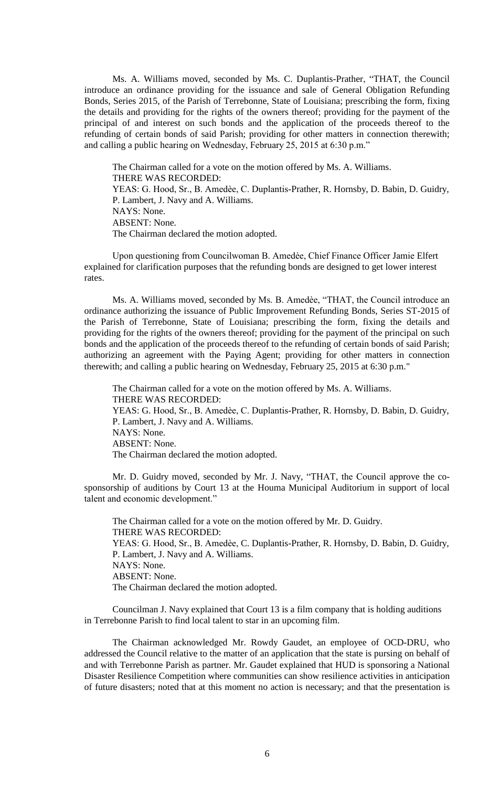Ms. A. Williams moved, seconded by Ms. C. Duplantis-Prather, "THAT, the Council introduce an ordinance providing for the issuance and sale of General Obligation Refunding Bonds, Series 2015, of the Parish of Terrebonne, State of Louisiana; prescribing the form, fixing the details and providing for the rights of the owners thereof; providing for the payment of the principal of and interest on such bonds and the application of the proceeds thereof to the refunding of certain bonds of said Parish; providing for other matters in connection therewith; and calling a public hearing on Wednesday, February 25, 2015 at 6:30 p.m."

The Chairman called for a vote on the motion offered by Ms. A. Williams. THERE WAS RECORDED: YEAS: G. Hood, Sr., B. Amedèe, C. Duplantis-Prather, R. Hornsby, D. Babin, D. Guidry, P. Lambert, J. Navy and A. Williams. NAYS: None. ABSENT: None. The Chairman declared the motion adopted.

Upon questioning from Councilwoman B. Amedѐe, Chief Finance Officer Jamie Elfert explained for clarification purposes that the refunding bonds are designed to get lower interest rates.

Ms. A. Williams moved, seconded by Ms. B. Amedèe, "THAT, the Council introduce an ordinance authorizing the issuance of Public Improvement Refunding Bonds, Series ST-2015 of the Parish of Terrebonne, State of Louisiana; prescribing the form, fixing the details and providing for the rights of the owners thereof; providing for the payment of the principal on such bonds and the application of the proceeds thereof to the refunding of certain bonds of said Parish; authorizing an agreement with the Paying Agent; providing for other matters in connection therewith; and calling a public hearing on Wednesday, February 25, 2015 at 6:30 p.m."

The Chairman called for a vote on the motion offered by Ms. A. Williams. THERE WAS RECORDED: YEAS: G. Hood, Sr., B. Amedèe, C. Duplantis-Prather, R. Hornsby, D. Babin, D. Guidry, P. Lambert, J. Navy and A. Williams. NAYS: None. ABSENT: None. The Chairman declared the motion adopted.

Mr. D. Guidry moved, seconded by Mr. J. Navy, "THAT, the Council approve the cosponsorship of auditions by Court 13 at the Houma Municipal Auditorium in support of local talent and economic development."

The Chairman called for a vote on the motion offered by Mr. D. Guidry. THERE WAS RECORDED: YEAS: G. Hood, Sr., B. Amedèe, C. Duplantis-Prather, R. Hornsby, D. Babin, D. Guidry, P. Lambert, J. Navy and A. Williams. NAYS: None. ABSENT: None. The Chairman declared the motion adopted.

Councilman J. Navy explained that Court 13 is a film company that is holding auditions in Terrebonne Parish to find local talent to star in an upcoming film.

The Chairman acknowledged Mr. Rowdy Gaudet, an employee of OCD-DRU, who addressed the Council relative to the matter of an application that the state is pursing on behalf of and with Terrebonne Parish as partner. Mr. Gaudet explained that HUD is sponsoring a National Disaster Resilience Competition where communities can show resilience activities in anticipation of future disasters; noted that at this moment no action is necessary; and that the presentation is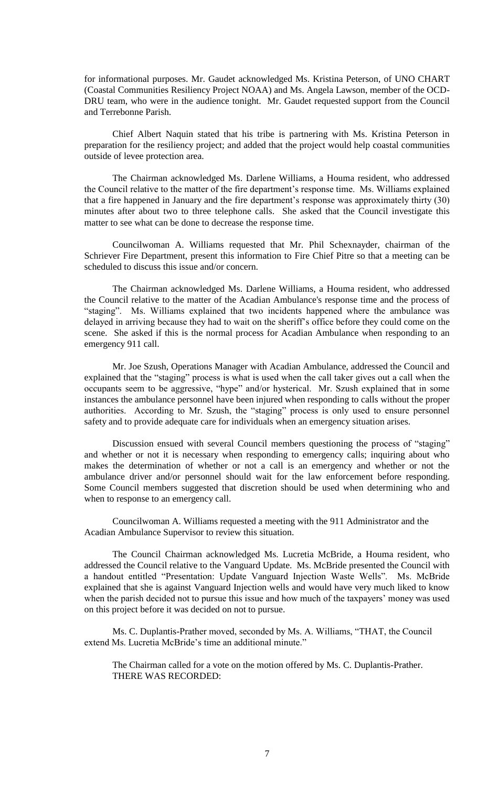for informational purposes. Mr. Gaudet acknowledged Ms. Kristina Peterson, of UNO CHART (Coastal Communities Resiliency Project NOAA) and Ms. Angela Lawson, member of the OCD-DRU team, who were in the audience tonight. Mr. Gaudet requested support from the Council and Terrebonne Parish.

Chief Albert Naquin stated that his tribe is partnering with Ms. Kristina Peterson in preparation for the resiliency project; and added that the project would help coastal communities outside of levee protection area.

The Chairman acknowledged Ms. Darlene Williams, a Houma resident, who addressed the Council relative to the matter of the fire department's response time. Ms. Williams explained that a fire happened in January and the fire department's response was approximately thirty (30) minutes after about two to three telephone calls. She asked that the Council investigate this matter to see what can be done to decrease the response time.

Councilwoman A. Williams requested that Mr. Phil Schexnayder, chairman of the Schriever Fire Department, present this information to Fire Chief Pitre so that a meeting can be scheduled to discuss this issue and/or concern.

The Chairman acknowledged Ms. Darlene Williams, a Houma resident, who addressed the Council relative to the matter of the Acadian Ambulance's response time and the process of "staging". Ms. Williams explained that two incidents happened where the ambulance was delayed in arriving because they had to wait on the sheriff's office before they could come on the scene. She asked if this is the normal process for Acadian Ambulance when responding to an emergency 911 call.

Mr. Joe Szush, Operations Manager with Acadian Ambulance, addressed the Council and explained that the "staging" process is what is used when the call taker gives out a call when the occupants seem to be aggressive, "hype" and/or hysterical. Mr. Szush explained that in some instances the ambulance personnel have been injured when responding to calls without the proper authorities. According to Mr. Szush, the "staging" process is only used to ensure personnel safety and to provide adequate care for individuals when an emergency situation arises.

Discussion ensued with several Council members questioning the process of "staging" and whether or not it is necessary when responding to emergency calls; inquiring about who makes the determination of whether or not a call is an emergency and whether or not the ambulance driver and/or personnel should wait for the law enforcement before responding. Some Council members suggested that discretion should be used when determining who and when to response to an emergency call.

Councilwoman A. Williams requested a meeting with the 911 Administrator and the Acadian Ambulance Supervisor to review this situation.

The Council Chairman acknowledged Ms. Lucretia McBride, a Houma resident, who addressed the Council relative to the Vanguard Update. Ms. McBride presented the Council with a handout entitled "Presentation: Update Vanguard Injection Waste Wells". Ms. McBride explained that she is against Vanguard Injection wells and would have very much liked to know when the parish decided not to pursue this issue and how much of the taxpayers' money was used on this project before it was decided on not to pursue.

Ms. C. Duplantis-Prather moved, seconded by Ms. A. Williams, "THAT, the Council extend Ms. Lucretia McBride's time an additional minute."

The Chairman called for a vote on the motion offered by Ms. C. Duplantis-Prather. THERE WAS RECORDED: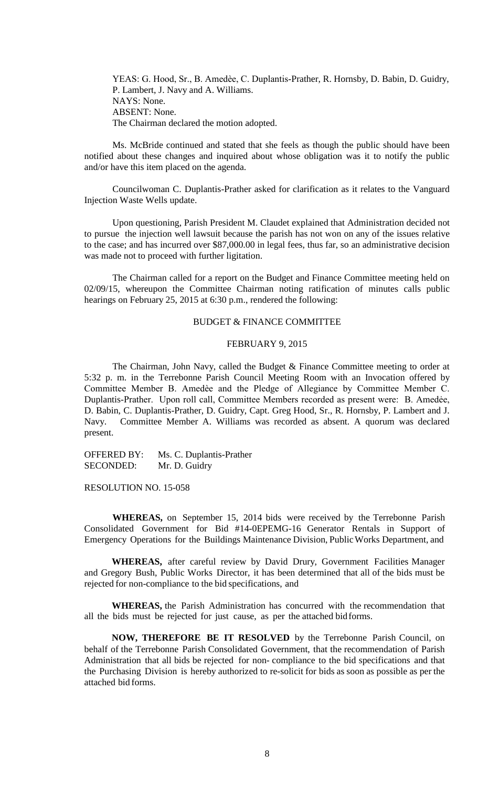YEAS: G. Hood, Sr., B. Amedèe, C. Duplantis-Prather, R. Hornsby, D. Babin, D. Guidry, P. Lambert, J. Navy and A. Williams. NAYS: None. ABSENT: None. The Chairman declared the motion adopted.

Ms. McBride continued and stated that she feels as though the public should have been notified about these changes and inquired about whose obligation was it to notify the public and/or have this item placed on the agenda.

Councilwoman C. Duplantis-Prather asked for clarification as it relates to the Vanguard Injection Waste Wells update.

Upon questioning, Parish President M. Claudet explained that Administration decided not to pursue the injection well lawsuit because the parish has not won on any of the issues relative to the case; and has incurred over \$87,000.00 in legal fees, thus far, so an administrative decision was made not to proceed with further ligitation.

The Chairman called for a report on the Budget and Finance Committee meeting held on 02/09/15, whereupon the Committee Chairman noting ratification of minutes calls public hearings on February 25, 2015 at 6:30 p.m., rendered the following:

#### BUDGET & FINANCE COMMITTEE

#### FEBRUARY 9, 2015

The Chairman, John Navy, called the Budget & Finance Committee meeting to order at 5:32 p. m. in the Terrebonne Parish Council Meeting Room with an Invocation offered by Committee Member B. Amedѐe and the Pledge of Allegiance by Committee Member C. Duplantis-Prather. Upon roll call, Committee Members recorded as present were: B. Amedẻe, D. Babin, C. Duplantis-Prather, D. Guidry, Capt. Greg Hood, Sr., R. Hornsby, P. Lambert and J. Navy. Committee Member A. Williams was recorded as absent. A quorum was declared present.

OFFERED BY: Ms. C. Duplantis-Prather SECONDED: Mr. D. Guidry

RESOLUTION NO. 15-058

**WHEREAS,** on September 15, 2014 bids were received by the Terrebonne Parish Consolidated Government for Bid #14-0EPEMG-16 Generator Rentals in Support of Emergency Operations for the Buildings Maintenance Division, PublicWorks Department, and

**WHEREAS,** after careful review by David Drury, Government Facilities Manager and Gregory Bush, Public Works Director, it has been determined that all of the bids must be rejected for non-compliance to the bid specifications, and

**WHEREAS,** the Parish Administration has concurred with the recommendation that all the bids must be rejected for just cause, as per the attached bidforms.

**NOW, THEREFORE BE IT RESOLVED** by the Terrebonne Parish Council, on behalf of the Terrebonne Parish Consolidated Government, that the recommendation of Parish Administration that all bids be rejected for non- compliance to the bid specifications and that the Purchasing Division is hereby authorized to re-solicit for bids as soon as possible as per the attached bid forms.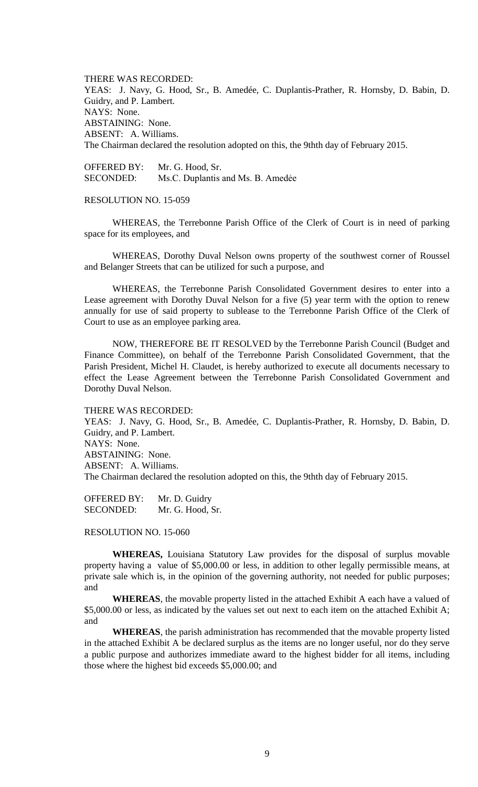THERE WAS RECORDED: YEAS: J. Navy, G. Hood, Sr., B. Amedée, C. Duplantis-Prather, R. Hornsby, D. Babin, D. Guidry, and P. Lambert. NAYS: None. ABSTAINING: None. ABSENT: A. Williams. The Chairman declared the resolution adopted on this, the 9thth day of February 2015.

OFFERED BY: Mr. G. Hood, Sr. SECONDED: Ms.C. Duplantis and Ms. B. Amedee

### RESOLUTION NO. 15-059

WHEREAS, the Terrebonne Parish Office of the Clerk of Court is in need of parking space for its employees, and

WHEREAS, Dorothy Duval Nelson owns property of the southwest corner of Roussel and Belanger Streets that can be utilized for such a purpose, and

WHEREAS, the Terrebonne Parish Consolidated Government desires to enter into a Lease agreement with Dorothy Duval Nelson for a five (5) year term with the option to renew annually for use of said property to sublease to the Terrebonne Parish Office of the Clerk of Court to use as an employee parking area.

NOW, THEREFORE BE IT RESOLVED by the Terrebonne Parish Council (Budget and Finance Committee), on behalf of the Terrebonne Parish Consolidated Government, that the Parish President, Michel H. Claudet, is hereby authorized to execute all documents necessary to effect the Lease Agreement between the Terrebonne Parish Consolidated Government and Dorothy Duval Nelson.

#### THERE WAS RECORDED:

YEAS: J. Navy, G. Hood, Sr., B. Amedée, C. Duplantis-Prather, R. Hornsby, D. Babin, D. Guidry, and P. Lambert. NAYS: None. ABSTAINING: None. ABSENT: A. Williams. The Chairman declared the resolution adopted on this, the 9thth day of February 2015.

OFFERED BY: Mr. D. Guidry SECONDED: Mr. G. Hood, Sr.

#### RESOLUTION NO. 15-060

**WHEREAS,** Louisiana Statutory Law provides for the disposal of surplus movable property having a value of \$5,000.00 or less, in addition to other legally permissible means, at private sale which is, in the opinion of the governing authority, not needed for public purposes; and

**WHEREAS**, the movable property listed in the attached Exhibit A each have a valued of \$5,000.00 or less, as indicated by the values set out next to each item on the attached Exhibit A; and

**WHEREAS**, the parish administration has recommended that the movable property listed in the attached Exhibit A be declared surplus as the items are no longer useful, nor do they serve a public purpose and authorizes immediate award to the highest bidder for all items, including those where the highest bid exceeds \$5,000.00; and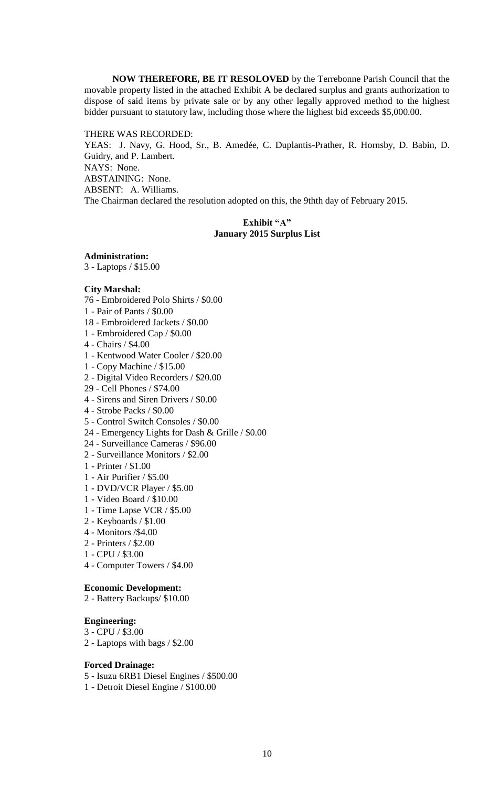**NOW THEREFORE, BE IT RESOLOVED** by the Terrebonne Parish Council that the movable property listed in the attached Exhibit A be declared surplus and grants authorization to dispose of said items by private sale or by any other legally approved method to the highest bidder pursuant to statutory law, including those where the highest bid exceeds \$5,000.00.

THERE WAS RECORDED:

YEAS: J. Navy, G. Hood, Sr., B. Amedée, C. Duplantis-Prather, R. Hornsby, D. Babin, D. Guidry, and P. Lambert. NAYS: None. ABSTAINING: None. ABSENT: A. Williams. The Chairman declared the resolution adopted on this, the 9thth day of February 2015.

# **Exhibit "A" January 2015 Surplus List**

## **Administration:**

3 - Laptops / \$15.00

### **City Marshal:**

- 76 Embroidered Polo Shirts / \$0.00
- 1 Pair of Pants / \$0.00
- 18 Embroidered Jackets / \$0.00
- 1 Embroidered Cap / \$0.00
- 4 Chairs / \$4.00
- 1 Kentwood Water Cooler / \$20.00
- 1 Copy Machine / \$15.00
- 2 Digital Video Recorders / \$20.00
- 29 Cell Phones / \$74.00
- 4 Sirens and Siren Drivers / \$0.00
- 4 Strobe Packs / \$0.00
- 5 Control Switch Consoles / \$0.00
- 24 Emergency Lights for Dash & Grille / \$0.00
- 24 Surveillance Cameras / \$96.00
- 2 Surveillance Monitors / \$2.00
- 1 Printer / \$1.00
- 1 Air Purifier / \$5.00
- 1 DVD/VCR Player / \$5.00
- 1 Video Board / \$10.00
- 1 Time Lapse VCR / \$5.00
- 2 Keyboards / \$1.00
- 4 Monitors /\$4.00
- 2 Printers / \$2.00
- 1 CPU / \$3.00
- 4 Computer Towers / \$4.00

## **Economic Development:**

2 - Battery Backups/ \$10.00

### **Engineering:**

- 3 CPU / \$3.00
- 2 Laptops with bags / \$2.00

## **Forced Drainage:**

- 5 Isuzu 6RB1 Diesel Engines / \$500.00
- 1 Detroit Diesel Engine / \$100.00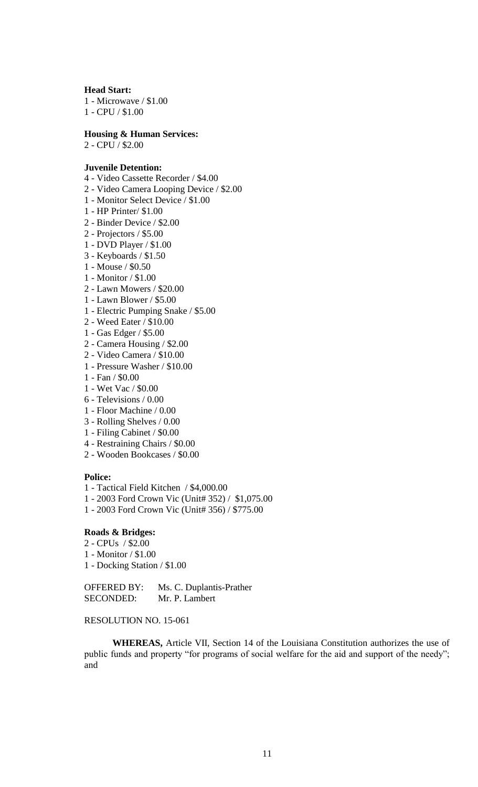#### **Head Start:**

1 - Microwave / \$1.00 1 - CPU / \$1.00

### **Housing & Human Services:**

2 - CPU / \$2.00

### **Juvenile Detention:**

- 4 Video Cassette Recorder / \$4.00
- 2 Video Camera Looping Device / \$2.00
- 1 Monitor Select Device / \$1.00
- 1 HP Printer/ \$1.00
- 2 Binder Device / \$2.00
- 2 Projectors / \$5.00
- 1 DVD Player / \$1.00
- 3 Keyboards / \$1.50
- 1 Mouse / \$0.50
- 1 Monitor / \$1.00
- 2 Lawn Mowers / \$20.00
- 1 Lawn Blower / \$5.00
- 1 Electric Pumping Snake / \$5.00
- 2 Weed Eater / \$10.00
- 1 Gas Edger / \$5.00
- 2 Camera Housing / \$2.00
- 2 Video Camera / \$10.00
- 1 Pressure Washer / \$10.00
- 1 Fan / \$0.00
- 1 Wet Vac / \$0.00
- 6 Televisions / 0.00
- 1 Floor Machine / 0.00
- 3 Rolling Shelves / 0.00
- 1 Filing Cabinet / \$0.00
- 4 Restraining Chairs / \$0.00
- 2 Wooden Bookcases / \$0.00

#### **Police:**

- 1 Tactical Field Kitchen / \$4,000.00
- 1 2003 Ford Crown Vic (Unit# 352) / \$1,075.00
- 1 2003 Ford Crown Vic (Unit# 356) / \$775.00

## **Roads & Bridges:**

- 2 CPUs / \$2.00
- 1 Monitor / \$1.00
- 1 Docking Station / \$1.00

OFFERED BY: Ms. C. Duplantis-Prather SECONDED: Mr. P. Lambert

# RESOLUTION NO. 15-061

**WHEREAS,** Article VII, Section 14 of the Louisiana Constitution authorizes the use of public funds and property "for programs of social welfare for the aid and support of the needy"; and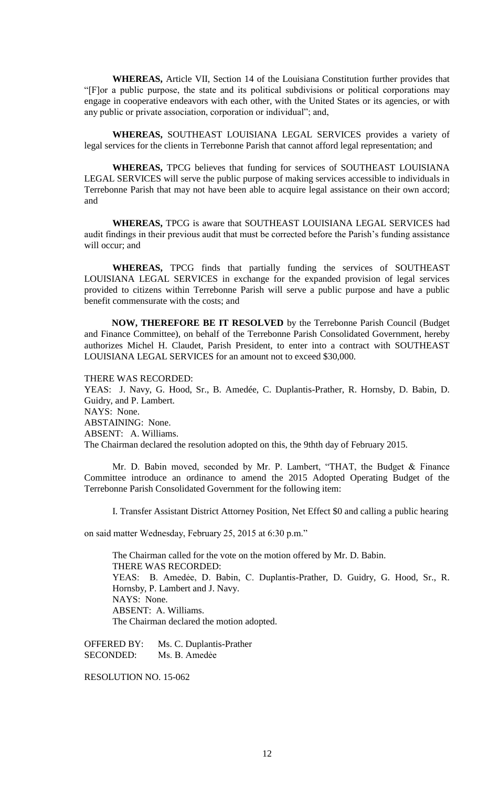**WHEREAS,** Article VII, Section 14 of the Louisiana Constitution further provides that "[F]or a public purpose, the state and its political subdivisions or political corporations may engage in cooperative endeavors with each other, with the United States or its agencies, or with any public or private association, corporation or individual"; and,

**WHEREAS,** SOUTHEAST LOUISIANA LEGAL SERVICES provides a variety of legal services for the clients in Terrebonne Parish that cannot afford legal representation; and

**WHEREAS,** TPCG believes that funding for services of SOUTHEAST LOUISIANA LEGAL SERVICES will serve the public purpose of making services accessible to individuals in Terrebonne Parish that may not have been able to acquire legal assistance on their own accord; and

**WHEREAS,** TPCG is aware that SOUTHEAST LOUISIANA LEGAL SERVICES had audit findings in their previous audit that must be corrected before the Parish's funding assistance will occur; and

**WHEREAS,** TPCG finds that partially funding the services of SOUTHEAST LOUISIANA LEGAL SERVICES in exchange for the expanded provision of legal services provided to citizens within Terrebonne Parish will serve a public purpose and have a public benefit commensurate with the costs; and

**NOW, THEREFORE BE IT RESOLVED** by the Terrebonne Parish Council (Budget and Finance Committee), on behalf of the Terrebonne Parish Consolidated Government, hereby authorizes Michel H. Claudet, Parish President, to enter into a contract with SOUTHEAST LOUISIANA LEGAL SERVICES for an amount not to exceed \$30,000.

THERE WAS RECORDED:

YEAS: J. Navy, G. Hood, Sr., B. Amedée, C. Duplantis-Prather, R. Hornsby, D. Babin, D. Guidry, and P. Lambert. NAYS: None. ABSTAINING: None. ABSENT: A. Williams. The Chairman declared the resolution adopted on this, the 9thth day of February 2015.

Mr. D. Babin moved, seconded by Mr. P. Lambert, "THAT, the Budget & Finance Committee introduce an ordinance to amend the 2015 Adopted Operating Budget of the Terrebonne Parish Consolidated Government for the following item:

I. Transfer Assistant District Attorney Position, Net Effect \$0 and calling a public hearing

on said matter Wednesday, February 25, 2015 at 6:30 p.m."

The Chairman called for the vote on the motion offered by Mr. D. Babin. THERE WAS RECORDED: YEAS: B. Amedẻe, D. Babin, C. Duplantis-Prather, D. Guidry, G. Hood, Sr., R. Hornsby, P. Lambert and J. Navy. NAYS: None. ABSENT: A. Williams. The Chairman declared the motion adopted.

OFFERED BY: Ms. C. Duplantis-Prather SECONDED: Ms. B. Amedée

RESOLUTION NO. 15-062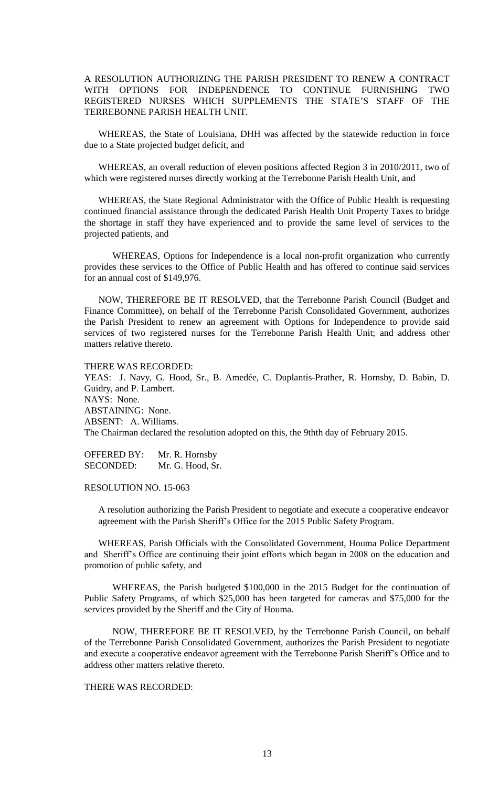# A RESOLUTION AUTHORIZING THE PARISH PRESIDENT TO RENEW A CONTRACT WITH OPTIONS FOR INDEPENDENCE TO CONTINUE FURNISHING TWO REGISTERED NURSES WHICH SUPPLEMENTS THE STATE'S STAFF OF THE TERREBONNE PARISH HEALTH UNIT.

WHEREAS, the State of Louisiana, DHH was affected by the statewide reduction in force due to a State projected budget deficit, and

WHEREAS, an overall reduction of eleven positions affected Region 3 in 2010/2011, two of which were registered nurses directly working at the Terrebonne Parish Health Unit, and

WHEREAS, the State Regional Administrator with the Office of Public Health is requesting continued financial assistance through the dedicated Parish Health Unit Property Taxes to bridge the shortage in staff they have experienced and to provide the same level of services to the projected patients, and

WHEREAS, Options for Independence is a local non-profit organization who currently provides these services to the Office of Public Health and has offered to continue said services for an annual cost of \$149,976.

NOW, THEREFORE BE IT RESOLVED, that the Terrebonne Parish Council (Budget and Finance Committee), on behalf of the Terrebonne Parish Consolidated Government, authorizes the Parish President to renew an agreement with Options for Independence to provide said services of two registered nurses for the Terrebonne Parish Health Unit; and address other matters relative thereto.

### THERE WAS RECORDED:

YEAS: J. Navy, G. Hood, Sr., B. Amedée, C. Duplantis-Prather, R. Hornsby, D. Babin, D. Guidry, and P. Lambert. NAYS: None. ABSTAINING: None. ABSENT: A. Williams. The Chairman declared the resolution adopted on this, the 9thth day of February 2015.

OFFERED BY: Mr. R. Hornsby SECONDED: Mr. G. Hood, Sr.

### RESOLUTION NO. 15-063

A resolution authorizing the Parish President to negotiate and execute a cooperative endeavor agreement with the Parish Sheriff's Office for the 2015 Public Safety Program.

WHEREAS, Parish Officials with the Consolidated Government, Houma Police Department and Sheriff's Office are continuing their joint efforts which began in 2008 on the education and promotion of public safety, and

WHEREAS, the Parish budgeted \$100,000 in the 2015 Budget for the continuation of Public Safety Programs, of which \$25,000 has been targeted for cameras and \$75,000 for the services provided by the Sheriff and the City of Houma.

NOW, THEREFORE BE IT RESOLVED, by the Terrebonne Parish Council, on behalf of the Terrebonne Parish Consolidated Government, authorizes the Parish President to negotiate and execute a cooperative endeavor agreement with the Terrebonne Parish Sheriff's Office and to address other matters relative thereto.

## THERE WAS RECORDED: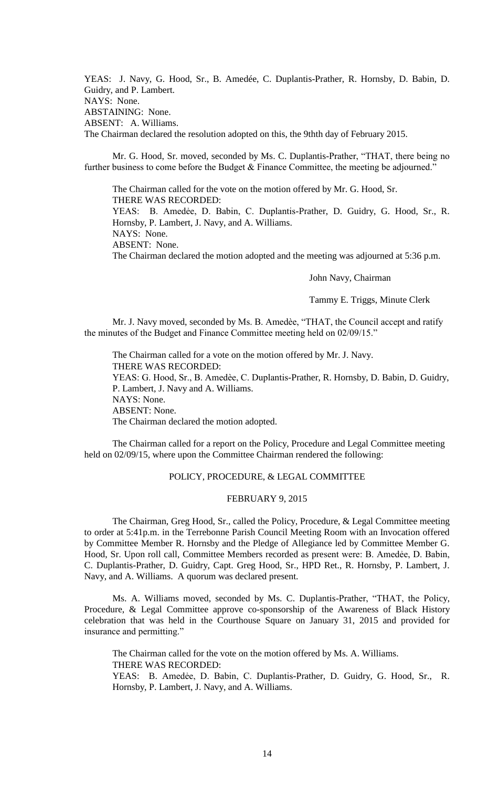YEAS: J. Navy, G. Hood, Sr., B. Amedée, C. Duplantis-Prather, R. Hornsby, D. Babin, D. Guidry, and P. Lambert. NAYS: None. ABSTAINING: None. ABSENT: A. Williams. The Chairman declared the resolution adopted on this, the 9thth day of February 2015.

Mr. G. Hood, Sr. moved, seconded by Ms. C. Duplantis-Prather, "THAT, there being no further business to come before the Budget & Finance Committee, the meeting be adjourned."

The Chairman called for the vote on the motion offered by Mr. G. Hood, Sr. THERE WAS RECORDED: YEAS: B. Amedẻe, D. Babin, C. Duplantis-Prather, D. Guidry, G. Hood, Sr., R. Hornsby, P. Lambert, J. Navy, and A. Williams. NAYS: None.

ABSENT: None.

The Chairman declared the motion adopted and the meeting was adjourned at 5:36 p.m.

John Navy, Chairman

Tammy E. Triggs, Minute Clerk

Mr. J. Navy moved, seconded by Ms. B. Amedèe, "THAT, the Council accept and ratify the minutes of the Budget and Finance Committee meeting held on 02/09/15."

The Chairman called for a vote on the motion offered by Mr. J. Navy. THERE WAS RECORDED: YEAS: G. Hood, Sr., B. Amedèe, C. Duplantis-Prather, R. Hornsby, D. Babin, D. Guidry, P. Lambert, J. Navy and A. Williams. NAYS: None. ABSENT: None. The Chairman declared the motion adopted.

The Chairman called for a report on the Policy, Procedure and Legal Committee meeting held on 02/09/15, where upon the Committee Chairman rendered the following:

## POLICY, PROCEDURE, & LEGAL COMMITTEE

### FEBRUARY 9, 2015

The Chairman, Greg Hood, Sr., called the Policy, Procedure, & Legal Committee meeting to order at 5:41p.m. in the Terrebonne Parish Council Meeting Room with an Invocation offered by Committee Member R. Hornsby and the Pledge of Allegiance led by Committee Member G. Hood, Sr. Upon roll call, Committee Members recorded as present were: B. Amedée, D. Babin, C. Duplantis-Prather, D. Guidry, Capt. Greg Hood, Sr., HPD Ret., R. Hornsby, P. Lambert, J. Navy, and A. Williams. A quorum was declared present.

Ms. A. Williams moved, seconded by Ms. C. Duplantis-Prather, "THAT, the Policy, Procedure, & Legal Committee approve co-sponsorship of the Awareness of Black History celebration that was held in the Courthouse Square on January 31, 2015 and provided for insurance and permitting."

The Chairman called for the vote on the motion offered by Ms. A. Williams. THERE WAS RECORDED: YEAS: B. Amedẻe, D. Babin, C. Duplantis-Prather, D. Guidry, G. Hood, Sr., R. Hornsby, P. Lambert, J. Navy, and A. Williams.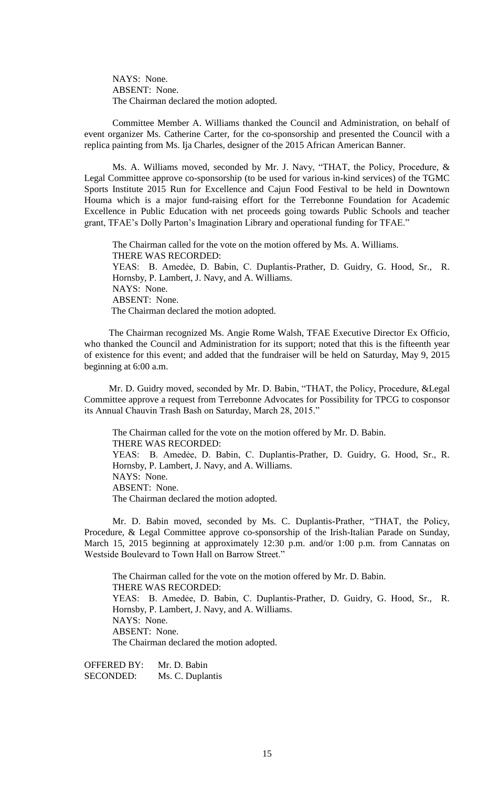NAYS: None. ABSENT: None. The Chairman declared the motion adopted.

Committee Member A. Williams thanked the Council and Administration, on behalf of event organizer Ms. Catherine Carter, for the co-sponsorship and presented the Council with a replica painting from Ms. Ija Charles, designer of the 2015 African American Banner.

 Ms. A. Williams moved, seconded by Mr. J. Navy, "THAT, the Policy, Procedure, & Legal Committee approve co-sponsorship (to be used for various in-kind services) of the TGMC Sports Institute 2015 Run for Excellence and Cajun Food Festival to be held in Downtown Houma which is a major fund-raising effort for the Terrebonne Foundation for Academic Excellence in Public Education with net proceeds going towards Public Schools and teacher grant, TFAE's Dolly Parton's Imagination Library and operational funding for TFAE."

The Chairman called for the vote on the motion offered by Ms. A. Williams. THERE WAS RECORDED: YEAS: B. Amedẻe, D. Babin, C. Duplantis-Prather, D. Guidry, G. Hood, Sr., R. Hornsby, P. Lambert, J. Navy, and A. Williams. NAYS: None. ABSENT: None. The Chairman declared the motion adopted.

The Chairman recognized Ms. Angie Rome Walsh, TFAE Executive Director Ex Officio, who thanked the Council and Administration for its support; noted that this is the fifteenth year of existence for this event; and added that the fundraiser will be held on Saturday, May 9, 2015 beginning at 6:00 a.m.

Mr. D. Guidry moved, seconded by Mr. D. Babin, "THAT, the Policy, Procedure, &Legal Committee approve a request from Terrebonne Advocates for Possibility for TPCG to cosponsor its Annual Chauvin Trash Bash on Saturday, March 28, 2015."

The Chairman called for the vote on the motion offered by Mr. D. Babin. THERE WAS RECORDED: YEAS: B. Amedẻe, D. Babin, C. Duplantis-Prather, D. Guidry, G. Hood, Sr., R. Hornsby, P. Lambert, J. Navy, and A. Williams. NAYS: None. ABSENT: None. The Chairman declared the motion adopted.

Mr. D. Babin moved, seconded by Ms. C. Duplantis-Prather, "THAT, the Policy, Procedure, & Legal Committee approve co-sponsorship of the Irish-Italian Parade on Sunday, March 15, 2015 beginning at approximately 12:30 p.m. and/or 1:00 p.m. from Cannatas on Westside Boulevard to Town Hall on Barrow Street."

The Chairman called for the vote on the motion offered by Mr. D. Babin. THERE WAS RECORDED: YEAS: B. Amedẻe, D. Babin, C. Duplantis-Prather, D. Guidry, G. Hood, Sr., R. Hornsby, P. Lambert, J. Navy, and A. Williams. NAYS: None. ABSENT: None. The Chairman declared the motion adopted.

OFFERED BY: Mr. D. Babin SECONDED: Ms. C. Duplantis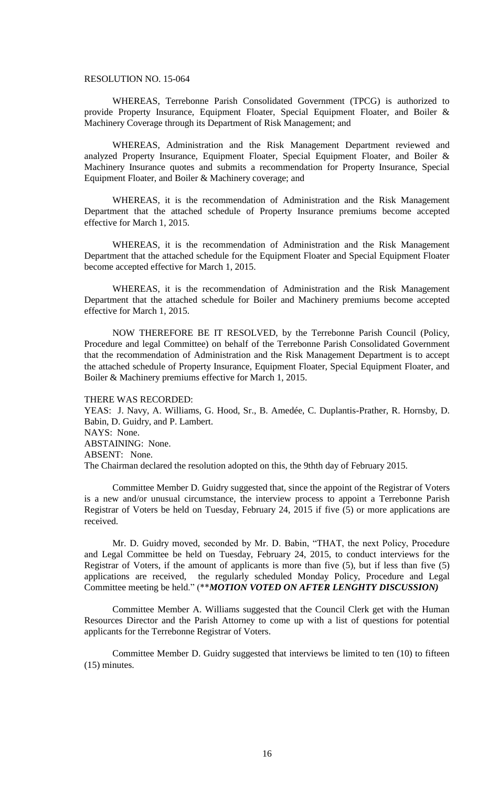### RESOLUTION NO. 15-064

WHEREAS, Terrebonne Parish Consolidated Government (TPCG) is authorized to provide Property Insurance, Equipment Floater, Special Equipment Floater, and Boiler & Machinery Coverage through its Department of Risk Management; and

WHEREAS, Administration and the Risk Management Department reviewed and analyzed Property Insurance, Equipment Floater, Special Equipment Floater, and Boiler & Machinery Insurance quotes and submits a recommendation for Property Insurance, Special Equipment Floater, and Boiler & Machinery coverage; and

WHEREAS, it is the recommendation of Administration and the Risk Management Department that the attached schedule of Property Insurance premiums become accepted effective for March 1, 2015.

WHEREAS, it is the recommendation of Administration and the Risk Management Department that the attached schedule for the Equipment Floater and Special Equipment Floater become accepted effective for March 1, 2015.

WHEREAS, it is the recommendation of Administration and the Risk Management Department that the attached schedule for Boiler and Machinery premiums become accepted effective for March 1, 2015.

NOW THEREFORE BE IT RESOLVED, by the Terrebonne Parish Council (Policy, Procedure and legal Committee) on behalf of the Terrebonne Parish Consolidated Government that the recommendation of Administration and the Risk Management Department is to accept the attached schedule of Property Insurance, Equipment Floater, Special Equipment Floater, and Boiler & Machinery premiums effective for March 1, 2015.

#### THERE WAS RECORDED:

YEAS: J. Navy, A. Williams, G. Hood, Sr., B. Amedée, C. Duplantis-Prather, R. Hornsby, D. Babin, D. Guidry, and P. Lambert. NAYS: None. ABSTAINING: None. ABSENT: None. The Chairman declared the resolution adopted on this, the 9thth day of February 2015.

Committee Member D. Guidry suggested that, since the appoint of the Registrar of Voters is a new and/or unusual circumstance, the interview process to appoint a Terrebonne Parish Registrar of Voters be held on Tuesday, February 24, 2015 if five (5) or more applications are received.

Mr. D. Guidry moved, seconded by Mr. D. Babin, "THAT, the next Policy, Procedure and Legal Committee be held on Tuesday, February 24, 2015, to conduct interviews for the Registrar of Voters, if the amount of applicants is more than five (5), but if less than five (5) applications are received, the regularly scheduled Monday Policy, Procedure and Legal Committee meeting be held." (\*\**MOTION VOTED ON AFTER LENGHTY DISCUSSION)*

Committee Member A. Williams suggested that the Council Clerk get with the Human Resources Director and the Parish Attorney to come up with a list of questions for potential applicants for the Terrebonne Registrar of Voters.

Committee Member D. Guidry suggested that interviews be limited to ten (10) to fifteen (15) minutes.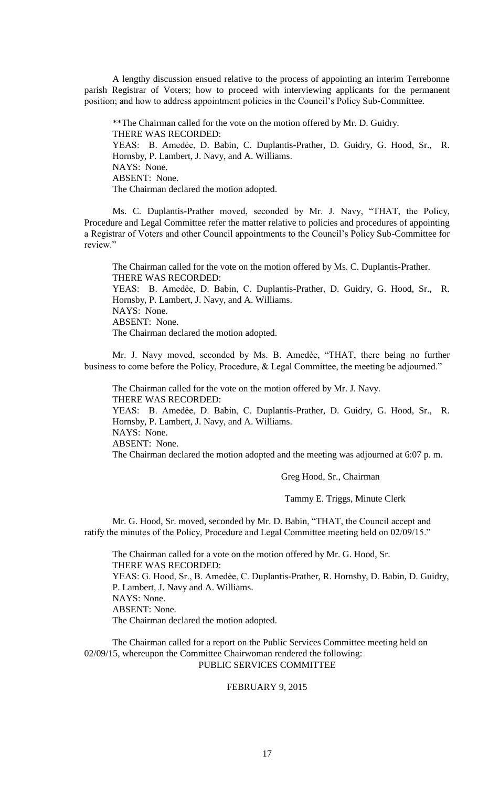A lengthy discussion ensued relative to the process of appointing an interim Terrebonne parish Registrar of Voters; how to proceed with interviewing applicants for the permanent position; and how to address appointment policies in the Council's Policy Sub-Committee.

\*\*The Chairman called for the vote on the motion offered by Mr. D. Guidry. THERE WAS RECORDED: YEAS: B. Amedẻe, D. Babin, C. Duplantis-Prather, D. Guidry, G. Hood, Sr., R. Hornsby, P. Lambert, J. Navy, and A. Williams. NAYS: None. ABSENT: None. The Chairman declared the motion adopted.

Ms. C. Duplantis-Prather moved, seconded by Mr. J. Navy, "THAT, the Policy, Procedure and Legal Committee refer the matter relative to policies and procedures of appointing a Registrar of Voters and other Council appointments to the Council's Policy Sub-Committee for review."

The Chairman called for the vote on the motion offered by Ms. C. Duplantis-Prather. THERE WAS RECORDED:

YEAS: B. Amedẻe, D. Babin, C. Duplantis-Prather, D. Guidry, G. Hood, Sr., R. Hornsby, P. Lambert, J. Navy, and A. Williams. NAYS: None. ABSENT: None.

The Chairman declared the motion adopted.

Mr. J. Navy moved, seconded by Ms. B. Amedèe, "THAT, there being no further business to come before the Policy, Procedure, & Legal Committee, the meeting be adjourned."

The Chairman called for the vote on the motion offered by Mr. J. Navy. THERE WAS RECORDED: YEAS: B. Amedẻe, D. Babin, C. Duplantis-Prather, D. Guidry, G. Hood, Sr., R. Hornsby, P. Lambert, J. Navy, and A. Williams. NAYS: None. ABSENT: None. The Chairman declared the motion adopted and the meeting was adjourned at 6:07 p. m.

Greg Hood, Sr., Chairman

Tammy E. Triggs, Minute Clerk

Mr. G. Hood, Sr. moved, seconded by Mr. D. Babin, "THAT, the Council accept and ratify the minutes of the Policy, Procedure and Legal Committee meeting held on 02/09/15."

The Chairman called for a vote on the motion offered by Mr. G. Hood, Sr. THERE WAS RECORDED: YEAS: G. Hood, Sr., B. Amedèe, C. Duplantis-Prather, R. Hornsby, D. Babin, D. Guidry, P. Lambert, J. Navy and A. Williams. NAYS: None. ABSENT: None. The Chairman declared the motion adopted.

The Chairman called for a report on the Public Services Committee meeting held on 02/09/15, whereupon the Committee Chairwoman rendered the following: PUBLIC SERVICES COMMITTEE

### FEBRUARY 9, 2015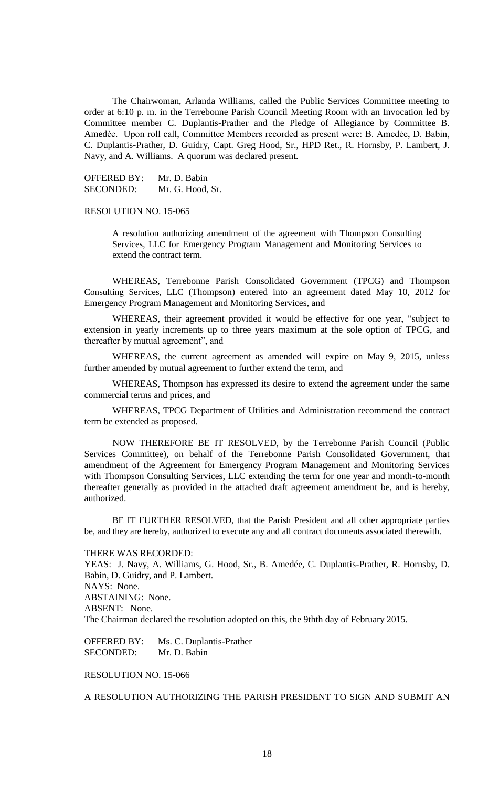The Chairwoman, Arlanda Williams, called the Public Services Committee meeting to order at 6:10 p. m. in the Terrebonne Parish Council Meeting Room with an Invocation led by Committee member C. Duplantis-Prather and the Pledge of Allegiance by Committee B. Amedèe. Upon roll call, Committee Members recorded as present were: B. Amedée, D. Babin, C. Duplantis-Prather, D. Guidry, Capt. Greg Hood, Sr., HPD Ret., R. Hornsby, P. Lambert, J. Navy, and A. Williams. A quorum was declared present.

OFFERED BY: Mr. D. Babin SECONDED: Mr. G. Hood, Sr.

### RESOLUTION NO. 15-065

A resolution authorizing amendment of the agreement with Thompson Consulting Services, LLC for Emergency Program Management and Monitoring Services to extend the contract term.

WHEREAS, Terrebonne Parish Consolidated Government (TPCG) and Thompson Consulting Services, LLC (Thompson) entered into an agreement dated May 10, 2012 for Emergency Program Management and Monitoring Services, and

WHEREAS, their agreement provided it would be effective for one year, "subject to extension in yearly increments up to three years maximum at the sole option of TPCG, and thereafter by mutual agreement", and

WHEREAS, the current agreement as amended will expire on May 9, 2015, unless further amended by mutual agreement to further extend the term, and

WHEREAS, Thompson has expressed its desire to extend the agreement under the same commercial terms and prices, and

WHEREAS, TPCG Department of Utilities and Administration recommend the contract term be extended as proposed.

NOW THEREFORE BE IT RESOLVED, by the Terrebonne Parish Council (Public Services Committee), on behalf of the Terrebonne Parish Consolidated Government, that amendment of the Agreement for Emergency Program Management and Monitoring Services with Thompson Consulting Services, LLC extending the term for one year and month-to-month thereafter generally as provided in the attached draft agreement amendment be, and is hereby, authorized.

BE IT FURTHER RESOLVED, that the Parish President and all other appropriate parties be, and they are hereby, authorized to execute any and all contract documents associated therewith.

#### THERE WAS RECORDED:

YEAS: J. Navy, A. Williams, G. Hood, Sr., B. Amedée, C. Duplantis-Prather, R. Hornsby, D. Babin, D. Guidry, and P. Lambert. NAYS: None. ABSTAINING: None. ABSENT: None. The Chairman declared the resolution adopted on this, the 9thth day of February 2015.

OFFERED BY: Ms. C. Duplantis-Prather SECONDED: Mr. D. Babin

### RESOLUTION NO. 15-066

A RESOLUTION AUTHORIZING THE PARISH PRESIDENT TO SIGN AND SUBMIT AN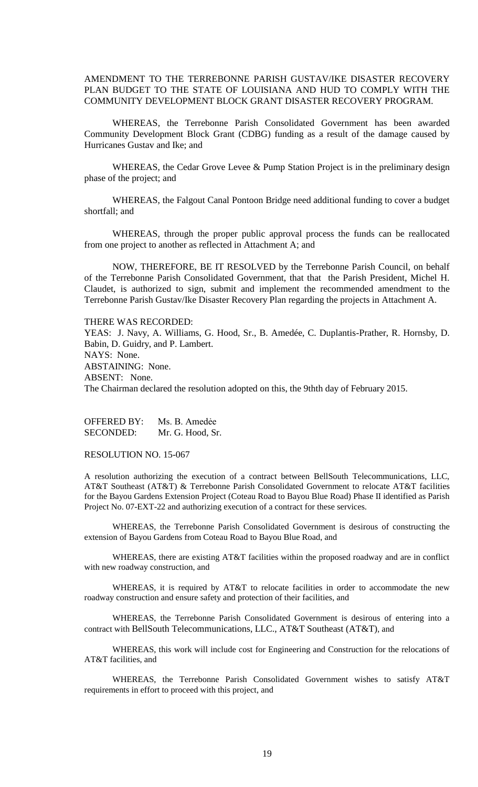AMENDMENT TO THE TERREBONNE PARISH GUSTAV/IKE DISASTER RECOVERY PLAN BUDGET TO THE STATE OF LOUISIANA AND HUD TO COMPLY WITH THE COMMUNITY DEVELOPMENT BLOCK GRANT DISASTER RECOVERY PROGRAM.

WHEREAS, the Terrebonne Parish Consolidated Government has been awarded Community Development Block Grant (CDBG) funding as a result of the damage caused by Hurricanes Gustav and Ike; and

WHEREAS, the Cedar Grove Levee & Pump Station Project is in the preliminary design phase of the project; and

WHEREAS, the Falgout Canal Pontoon Bridge need additional funding to cover a budget shortfall; and

WHEREAS, through the proper public approval process the funds can be reallocated from one project to another as reflected in Attachment A; and

NOW, THEREFORE, BE IT RESOLVED by the Terrebonne Parish Council, on behalf of the Terrebonne Parish Consolidated Government, that that the Parish President, Michel H. Claudet, is authorized to sign, submit and implement the recommended amendment to the Terrebonne Parish Gustav/Ike Disaster Recovery Plan regarding the projects in Attachment A.

THERE WAS RECORDED:

YEAS: J. Navy, A. Williams, G. Hood, Sr., B. Amedée, C. Duplantis-Prather, R. Hornsby, D. Babin, D. Guidry, and P. Lambert. NAYS: None. ABSTAINING: None. ABSENT: None. The Chairman declared the resolution adopted on this, the 9thth day of February 2015.

OFFERED BY: Ms. B. Amedẻe SECONDED: Mr. G. Hood, Sr.

RESOLUTION NO. 15-067

A resolution authorizing the execution of a contract between BellSouth Telecommunications, LLC, AT&T Southeast (AT&T) & Terrebonne Parish Consolidated Government to relocate AT&T facilities for the Bayou Gardens Extension Project (Coteau Road to Bayou Blue Road) Phase II identified as Parish Project No. 07-EXT-22 and authorizing execution of a contract for these services.

WHEREAS, the Terrebonne Parish Consolidated Government is desirous of constructing the extension of Bayou Gardens from Coteau Road to Bayou Blue Road, and

WHEREAS, there are existing AT&T facilities within the proposed roadway and are in conflict with new roadway construction, and

WHEREAS, it is required by AT&T to relocate facilities in order to accommodate the new roadway construction and ensure safety and protection of their facilities, and

WHEREAS, the Terrebonne Parish Consolidated Government is desirous of entering into a contract with BellSouth Telecommunications, LLC., AT&T Southeast (AT&T), and

WHEREAS, this work will include cost for Engineering and Construction for the relocations of AT&T facilities, and

WHEREAS, the Terrebonne Parish Consolidated Government wishes to satisfy AT&T requirements in effort to proceed with this project, and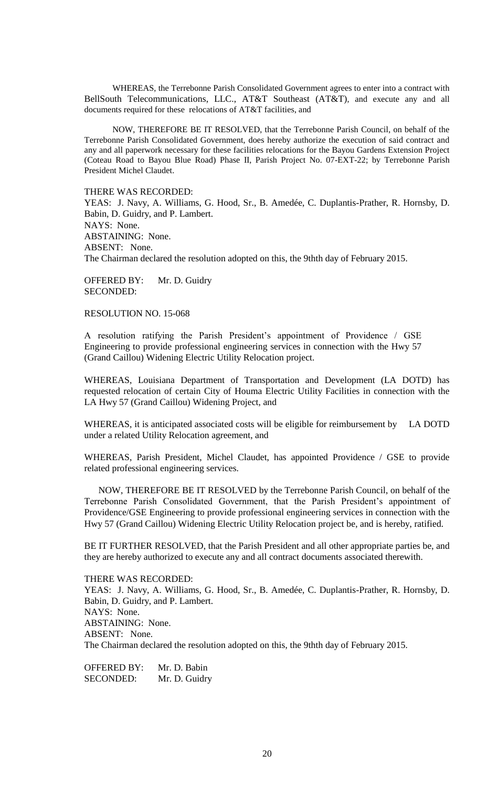WHEREAS, the Terrebonne Parish Consolidated Government agrees to enter into a contract with BellSouth Telecommunications, LLC., AT&T Southeast (AT&T), and execute any and all documents required for these relocations of AT&T facilities, and

NOW, THEREFORE BE IT RESOLVED, that the Terrebonne Parish Council, on behalf of the Terrebonne Parish Consolidated Government, does hereby authorize the execution of said contract and any and all paperwork necessary for these facilities relocations for the Bayou Gardens Extension Project (Coteau Road to Bayou Blue Road) Phase II, Parish Project No. 07-EXT-22; by Terrebonne Parish President Michel Claudet.

THERE WAS RECORDED:

YEAS: J. Navy, A. Williams, G. Hood, Sr., B. Amedée, C. Duplantis-Prather, R. Hornsby, D. Babin, D. Guidry, and P. Lambert. NAYS: None. ABSTAINING: None. ABSENT: None. The Chairman declared the resolution adopted on this, the 9thth day of February 2015.

OFFERED BY: Mr. D. Guidry SECONDED:

RESOLUTION NO. 15-068

A resolution ratifying the Parish President's appointment of Providence / GSE Engineering to provide professional engineering services in connection with the Hwy 57 (Grand Caillou) Widening Electric Utility Relocation project.

WHEREAS, Louisiana Department of Transportation and Development (LA DOTD) has requested relocation of certain City of Houma Electric Utility Facilities in connection with the LA Hwy 57 (Grand Caillou) Widening Project, and

WHEREAS, it is anticipated associated costs will be eligible for reimbursement by LA DOTD under a related Utility Relocation agreement, and

WHEREAS, Parish President, Michel Claudet, has appointed Providence / GSE to provide related professional engineering services.

NOW, THEREFORE BE IT RESOLVED by the Terrebonne Parish Council, on behalf of the Terrebonne Parish Consolidated Government, that the Parish President's appointment of Providence/GSE Engineering to provide professional engineering services in connection with the Hwy 57 (Grand Caillou) Widening Electric Utility Relocation project be, and is hereby, ratified.

BE IT FURTHER RESOLVED, that the Parish President and all other appropriate parties be, and they are hereby authorized to execute any and all contract documents associated therewith.

THERE WAS RECORDED: YEAS: J. Navy, A. Williams, G. Hood, Sr., B. Amedée, C. Duplantis-Prather, R. Hornsby, D. Babin, D. Guidry, and P. Lambert. NAYS: None. ABSTAINING: None. ABSENT: None. The Chairman declared the resolution adopted on this, the 9thth day of February 2015.

OFFERED BY: Mr. D. Babin SECONDED: Mr. D. Guidry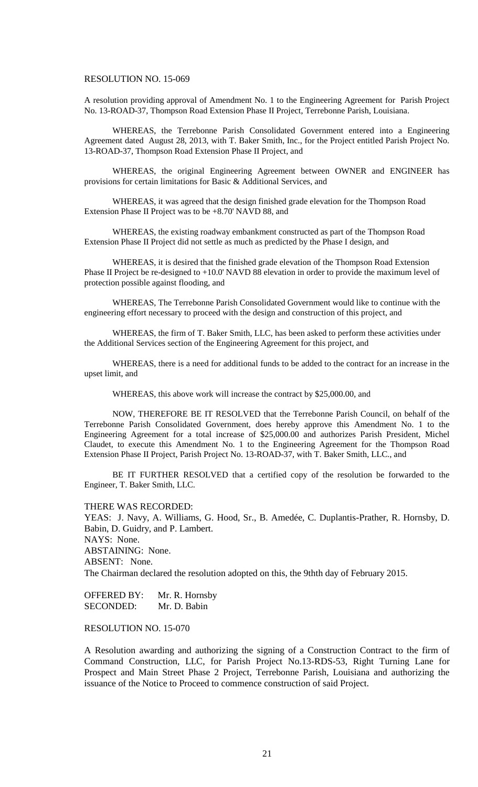#### RESOLUTION NO. 15-069

A resolution providing approval of Amendment No. 1 to the Engineering Agreement for Parish Project No. 13-ROAD-37, Thompson Road Extension Phase II Project, Terrebonne Parish, Louisiana.

WHEREAS, the Terrebonne Parish Consolidated Government entered into a Engineering Agreement dated August 28, 2013, with T. Baker Smith, Inc., for the Project entitled Parish Project No. 13-ROAD-37, Thompson Road Extension Phase II Project, and

WHEREAS, the original Engineering Agreement between OWNER and ENGINEER has provisions for certain limitations for Basic & Additional Services, and

WHEREAS, it was agreed that the design finished grade elevation for the Thompson Road Extension Phase II Project was to be +8.70' NAVD 88, and

WHEREAS, the existing roadway embankment constructed as part of the Thompson Road Extension Phase II Project did not settle as much as predicted by the Phase I design, and

WHEREAS, it is desired that the finished grade elevation of the Thompson Road Extension Phase II Project be re-designed to +10.0' NAVD 88 elevation in order to provide the maximum level of protection possible against flooding, and

WHEREAS, The Terrebonne Parish Consolidated Government would like to continue with the engineering effort necessary to proceed with the design and construction of this project, and

WHEREAS, the firm of T. Baker Smith, LLC, has been asked to perform these activities under the Additional Services section of the Engineering Agreement for this project, and

WHEREAS, there is a need for additional funds to be added to the contract for an increase in the upset limit, and

WHEREAS, this above work will increase the contract by \$25,000.00, and

NOW, THEREFORE BE IT RESOLVED that the Terrebonne Parish Council, on behalf of the Terrebonne Parish Consolidated Government, does hereby approve this Amendment No. 1 to the Engineering Agreement for a total increase of \$25,000.00 and authorizes Parish President, Michel Claudet, to execute this Amendment No. 1 to the Engineering Agreement for the Thompson Road Extension Phase II Project, Parish Project No. 13-ROAD-37, with T. Baker Smith, LLC., and

BE IT FURTHER RESOLVED that a certified copy of the resolution be forwarded to the Engineer, T. Baker Smith, LLC.

THERE WAS RECORDED:

YEAS: J. Navy, A. Williams, G. Hood, Sr., B. Amedée, C. Duplantis-Prather, R. Hornsby, D. Babin, D. Guidry, and P. Lambert. NAYS: None. ABSTAINING: None. ABSENT: None. The Chairman declared the resolution adopted on this, the 9thth day of February 2015.

OFFERED BY: Mr. R. Hornsby SECONDED: Mr. D. Babin

RESOLUTION NO. 15-070

A Resolution awarding and authorizing the signing of a Construction Contract to the firm of Command Construction, LLC, for Parish Project No.13-RDS-53, Right Turning Lane for Prospect and Main Street Phase 2 Project, Terrebonne Parish, Louisiana and authorizing the issuance of the Notice to Proceed to commence construction of said Project.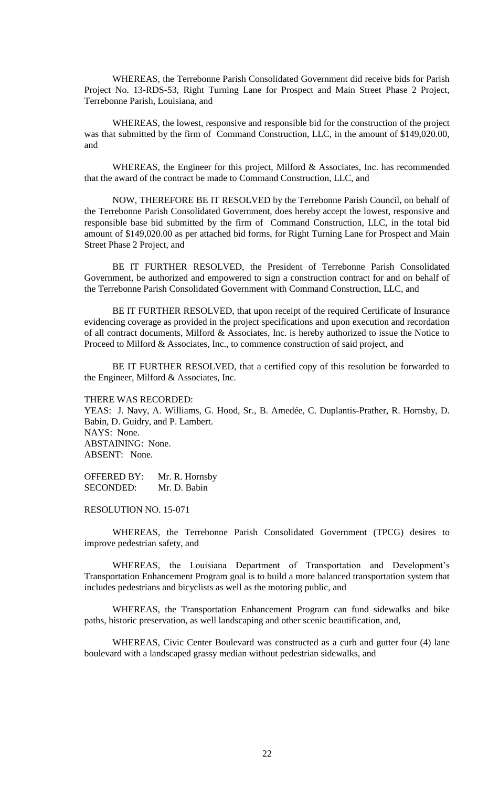WHEREAS, the Terrebonne Parish Consolidated Government did receive bids for Parish Project No. 13-RDS-53, Right Turning Lane for Prospect and Main Street Phase 2 Project, Terrebonne Parish, Louisiana, and

WHEREAS, the lowest, responsive and responsible bid for the construction of the project was that submitted by the firm of Command Construction, LLC, in the amount of \$149,020.00, and

WHEREAS, the Engineer for this project, Milford & Associates, Inc. has recommended that the award of the contract be made to Command Construction, LLC, and

NOW, THEREFORE BE IT RESOLVED by the Terrebonne Parish Council, on behalf of the Terrebonne Parish Consolidated Government, does hereby accept the lowest, responsive and responsible base bid submitted by the firm of Command Construction, LLC, in the total bid amount of \$149,020.00 as per attached bid forms, for Right Turning Lane for Prospect and Main Street Phase 2 Project, and

BE IT FURTHER RESOLVED, the President of Terrebonne Parish Consolidated Government, be authorized and empowered to sign a construction contract for and on behalf of the Terrebonne Parish Consolidated Government with Command Construction, LLC, and

BE IT FURTHER RESOLVED, that upon receipt of the required Certificate of Insurance evidencing coverage as provided in the project specifications and upon execution and recordation of all contract documents, Milford & Associates, Inc. is hereby authorized to issue the Notice to Proceed to Milford & Associates, Inc., to commence construction of said project, and

BE IT FURTHER RESOLVED, that a certified copy of this resolution be forwarded to the Engineer, Milford & Associates, Inc.

THERE WAS RECORDED: YEAS: J. Navy, A. Williams, G. Hood, Sr., B. Amedée, C. Duplantis-Prather, R. Hornsby, D. Babin, D. Guidry, and P. Lambert. NAYS: None. ABSTAINING: None. ABSENT: None.

OFFERED BY: Mr. R. Hornsby SECONDED: Mr. D. Babin

RESOLUTION NO. 15-071

WHEREAS, the Terrebonne Parish Consolidated Government (TPCG) desires to improve pedestrian safety, and

WHEREAS, the Louisiana Department of Transportation and Development's Transportation Enhancement Program goal is to build a more balanced transportation system that includes pedestrians and bicyclists as well as the motoring public, and

WHEREAS, the Transportation Enhancement Program can fund sidewalks and bike paths, historic preservation, as well landscaping and other scenic beautification, and,

WHEREAS, Civic Center Boulevard was constructed as a curb and gutter four (4) lane boulevard with a landscaped grassy median without pedestrian sidewalks, and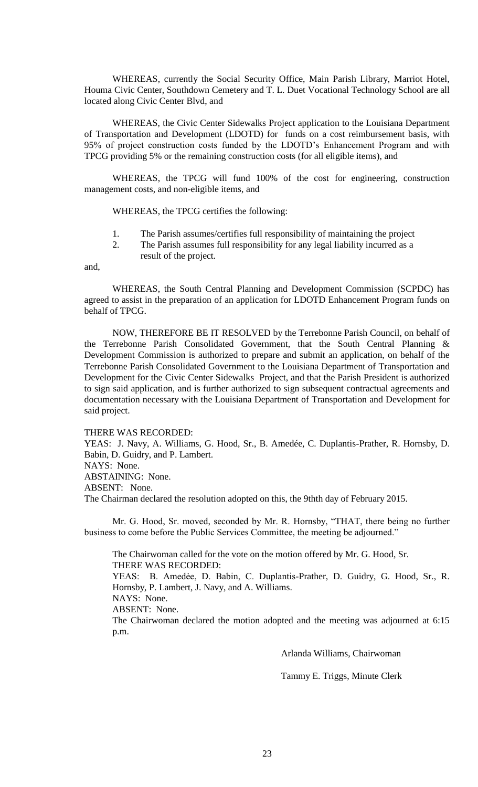WHEREAS, currently the Social Security Office, Main Parish Library, Marriot Hotel, Houma Civic Center, Southdown Cemetery and T. L. Duet Vocational Technology School are all located along Civic Center Blvd, and

WHEREAS, the Civic Center Sidewalks Project application to the Louisiana Department of Transportation and Development (LDOTD) for funds on a cost reimbursement basis, with 95% of project construction costs funded by the LDOTD's Enhancement Program and with TPCG providing 5% or the remaining construction costs (for all eligible items), and

WHEREAS, the TPCG will fund 100% of the cost for engineering, construction management costs, and non-eligible items, and

WHEREAS, the TPCG certifies the following:

- 1. The Parish assumes/certifies full responsibility of maintaining the project
- 2. The Parish assumes full responsibility for any legal liability incurred as a result of the project.

and,

WHEREAS, the South Central Planning and Development Commission (SCPDC) has agreed to assist in the preparation of an application for LDOTD Enhancement Program funds on behalf of TPCG.

NOW, THEREFORE BE IT RESOLVED by the Terrebonne Parish Council, on behalf of the Terrebonne Parish Consolidated Government, that the South Central Planning & Development Commission is authorized to prepare and submit an application, on behalf of the Terrebonne Parish Consolidated Government to the Louisiana Department of Transportation and Development for the Civic Center Sidewalks Project, and that the Parish President is authorized to sign said application, and is further authorized to sign subsequent contractual agreements and documentation necessary with the Louisiana Department of Transportation and Development for said project.

THERE WAS RECORDED:

YEAS: J. Navy, A. Williams, G. Hood, Sr., B. Amedée, C. Duplantis-Prather, R. Hornsby, D. Babin, D. Guidry, and P. Lambert.

NAYS: None.

ABSTAINING: None.

ABSENT: None.

The Chairman declared the resolution adopted on this, the 9thth day of February 2015.

Mr. G. Hood, Sr. moved, seconded by Mr. R. Hornsby, "THAT, there being no further business to come before the Public Services Committee, the meeting be adjourned."

The Chairwoman called for the vote on the motion offered by Mr. G. Hood, Sr. THERE WAS RECORDED: YEAS: B. Amedẻe, D. Babin, C. Duplantis-Prather, D. Guidry, G. Hood, Sr., R. Hornsby, P. Lambert, J. Navy, and A. Williams. NAYS: None. ABSENT: None. The Chairwoman declared the motion adopted and the meeting was adjourned at 6:15 p.m.

Arlanda Williams, Chairwoman

Tammy E. Triggs, Minute Clerk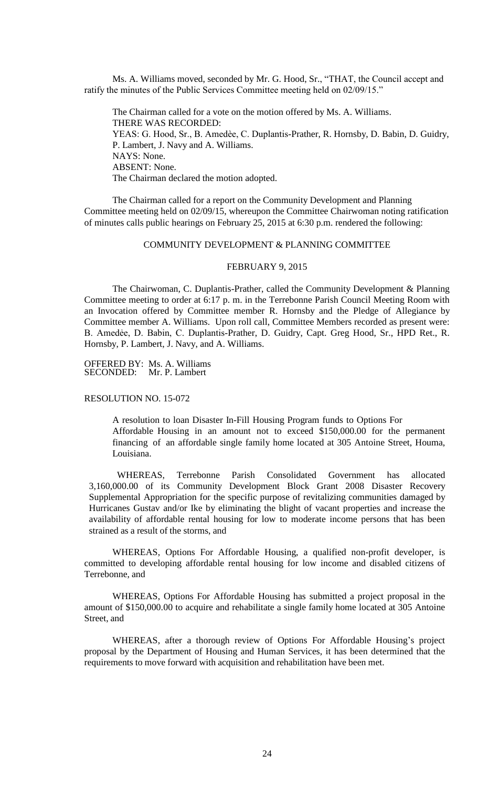Ms. A. Williams moved, seconded by Mr. G. Hood, Sr., "THAT, the Council accept and ratify the minutes of the Public Services Committee meeting held on 02/09/15."

The Chairman called for a vote on the motion offered by Ms. A. Williams. THERE WAS RECORDED: YEAS: G. Hood, Sr., B. Amedèe, C. Duplantis-Prather, R. Hornsby, D. Babin, D. Guidry, P. Lambert, J. Navy and A. Williams. NAYS: None. ABSENT: None. The Chairman declared the motion adopted.

The Chairman called for a report on the Community Development and Planning Committee meeting held on 02/09/15, whereupon the Committee Chairwoman noting ratification of minutes calls public hearings on February 25, 2015 at 6:30 p.m. rendered the following:

## COMMUNITY DEVELOPMENT & PLANNING COMMITTEE

#### FEBRUARY 9, 2015

The Chairwoman, C. Duplantis-Prather, called the Community Development & Planning Committee meeting to order at 6:17 p. m. in the Terrebonne Parish Council Meeting Room with an Invocation offered by Committee member R. Hornsby and the Pledge of Allegiance by Committee member A. Williams. Upon roll call, Committee Members recorded as present were: B. Amedẻe, D. Babin, C. Duplantis-Prather, D. Guidry, Capt. Greg Hood, Sr., HPD Ret., R. Hornsby, P. Lambert, J. Navy, and A. Williams.

OFFERED BY: Ms. A. Williams SECONDED: Mr. P. Lambert

### RESOLUTION NO. 15-072

A resolution to loan Disaster In-Fill Housing Program funds to Options For Affordable Housing in an amount not to exceed \$150,000.00 for the permanent financing of an affordable single family home located at 305 Antoine Street, Houma, Louisiana.

WHEREAS, Terrebonne Parish Consolidated Government has allocated 3,160,000.00 of its Community Development Block Grant 2008 Disaster Recovery Supplemental Appropriation for the specific purpose of revitalizing communities damaged by Hurricanes Gustav and/or Ike by eliminating the blight of vacant properties and increase the availability of affordable rental housing for low to moderate income persons that has been strained as a result of the storms, and

WHEREAS, Options For Affordable Housing, a qualified non-profit developer, is committed to developing affordable rental housing for low income and disabled citizens of Terrebonne, and

WHEREAS, Options For Affordable Housing has submitted a project proposal in the amount of \$150,000.00 to acquire and rehabilitate a single family home located at 305 Antoine Street, and

WHEREAS, after a thorough review of Options For Affordable Housing's project proposal by the Department of Housing and Human Services, it has been determined that the requirements to move forward with acquisition and rehabilitation have been met.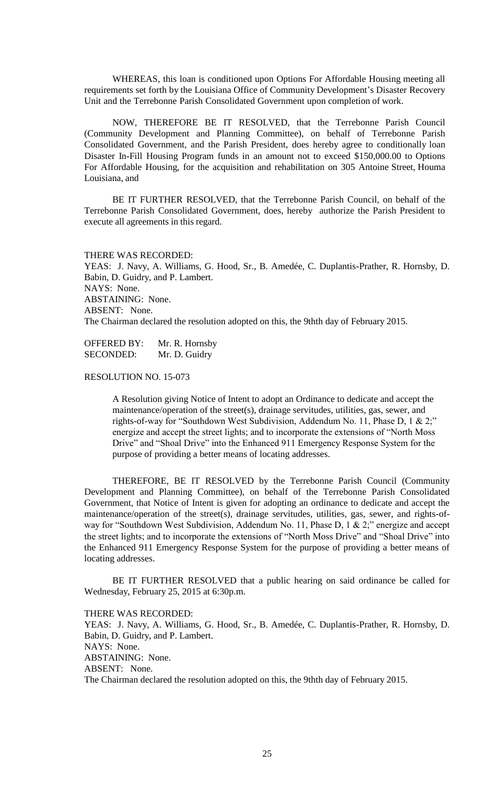WHEREAS, this loan is conditioned upon Options For Affordable Housing meeting all requirements set forth by the Louisiana Office of Community Development's Disaster Recovery Unit and the Terrebonne Parish Consolidated Government upon completion of work.

NOW, THEREFORE BE IT RESOLVED, that the Terrebonne Parish Council (Community Development and Planning Committee), on behalf of Terrebonne Parish Consolidated Government, and the Parish President, does hereby agree to conditionally loan Disaster In-Fill Housing Program funds in an amount not to exceed \$150,000.00 to Options For Affordable Housing, for the acquisition and rehabilitation on 305 Antoine Street, Houma Louisiana, and

BE IT FURTHER RESOLVED, that the Terrebonne Parish Council, on behalf of the Terrebonne Parish Consolidated Government, does, hereby authorize the Parish President to execute all agreements in this regard.

#### THERE WAS RECORDED:

YEAS: J. Navy, A. Williams, G. Hood, Sr., B. Amedée, C. Duplantis-Prather, R. Hornsby, D. Babin, D. Guidry, and P. Lambert. NAYS: None. ABSTAINING: None. ABSENT: None. The Chairman declared the resolution adopted on this, the 9thth day of February 2015.

OFFERED BY: Mr. R. Hornsby SECONDED: Mr. D. Guidry

# RESOLUTION NO. 15-073

A Resolution giving Notice of Intent to adopt an Ordinance to dedicate and accept the maintenance/operation of the street(s), drainage servitudes, utilities, gas, sewer, and rights-of-way for "Southdown West Subdivision, Addendum No. 11, Phase D, 1 & 2;" energize and accept the street lights; and to incorporate the extensions of "North Moss Drive" and "Shoal Drive" into the Enhanced 911 Emergency Response System for the purpose of providing a better means of locating addresses.

THEREFORE, BE IT RESOLVED by the Terrebonne Parish Council (Community Development and Planning Committee), on behalf of the Terrebonne Parish Consolidated Government, that Notice of Intent is given for adopting an ordinance to dedicate and accept the maintenance/operation of the street(s), drainage servitudes, utilities, gas, sewer, and rights-ofway for "Southdown West Subdivision, Addendum No. 11, Phase D, 1 & 2;" energize and accept the street lights; and to incorporate the extensions of "North Moss Drive" and "Shoal Drive" into the Enhanced 911 Emergency Response System for the purpose of providing a better means of locating addresses.

BE IT FURTHER RESOLVED that a public hearing on said ordinance be called for Wednesday, February 25, 2015 at 6:30p.m.

THERE WAS RECORDED:

YEAS: J. Navy, A. Williams, G. Hood, Sr., B. Amedée, C. Duplantis-Prather, R. Hornsby, D. Babin, D. Guidry, and P. Lambert. NAYS: None. ABSTAINING: None. ABSENT: None. The Chairman declared the resolution adopted on this, the 9thth day of February 2015.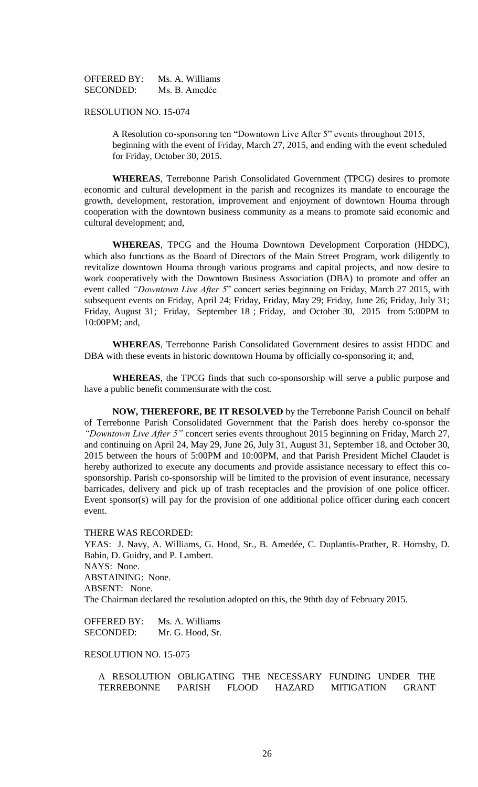OFFERED BY: Ms. A. Williams SECONDED: Ms. B. Amedée

### RESOLUTION NO. 15-074

A Resolution co-sponsoring ten "Downtown Live After 5" events throughout 2015, beginning with the event of Friday, March 27, 2015, and ending with the event scheduled for Friday, October 30, 2015.

**WHEREAS**, Terrebonne Parish Consolidated Government (TPCG) desires to promote economic and cultural development in the parish and recognizes its mandate to encourage the growth, development, restoration, improvement and enjoyment of downtown Houma through cooperation with the downtown business community as a means to promote said economic and cultural development; and,

**WHEREAS**, TPCG and the Houma Downtown Development Corporation (HDDC), which also functions as the Board of Directors of the Main Street Program, work diligently to revitalize downtown Houma through various programs and capital projects, and now desire to work cooperatively with the Downtown Business Association (DBA) to promote and offer an event called *"Downtown Live After 5*" concert series beginning on Friday, March 27 2015, with subsequent events on Friday, April 24; Friday, Friday, May 29; Friday, June 26; Friday, July 31; Friday, August 31; Friday, September 18 ; Friday, and October 30, 2015 from 5:00PM to 10:00PM; and,

**WHEREAS**, Terrebonne Parish Consolidated Government desires to assist HDDC and DBA with these events in historic downtown Houma by officially co-sponsoring it; and,

**WHEREAS**, the TPCG finds that such co-sponsorship will serve a public purpose and have a public benefit commensurate with the cost.

**NOW, THEREFORE, BE IT RESOLVED** by the Terrebonne Parish Council on behalf of Terrebonne Parish Consolidated Government that the Parish does hereby co-sponsor the *"Downtown Live After 5"* concert series events throughout 2015 beginning on Friday*,* March 27, and continuing on April 24, May 29, June 26, July 31, August 31, September 18, and October 30, 2015 between the hours of 5:00PM and 10:00PM, and that Parish President Michel Claudet is hereby authorized to execute any documents and provide assistance necessary to effect this cosponsorship. Parish co-sponsorship will be limited to the provision of event insurance, necessary barricades, delivery and pick up of trash receptacles and the provision of one police officer. Event sponsor(s) will pay for the provision of one additional police officer during each concert event.

THERE WAS RECORDED:

YEAS: J. Navy, A. Williams, G. Hood, Sr., B. Amedée, C. Duplantis-Prather, R. Hornsby, D. Babin, D. Guidry, and P. Lambert. NAYS: None. ABSTAINING: None. ABSENT: None. The Chairman declared the resolution adopted on this, the 9thth day of February 2015.

OFFERED BY: Ms. A. Williams SECONDED: Mr. G. Hood, Sr.

RESOLUTION NO. 15-075

A RESOLUTION OBLIGATING THE NECESSARY FUNDING UNDER THE TERREBONNE PARISH FLOOD HAZARD MITIGATION GRANT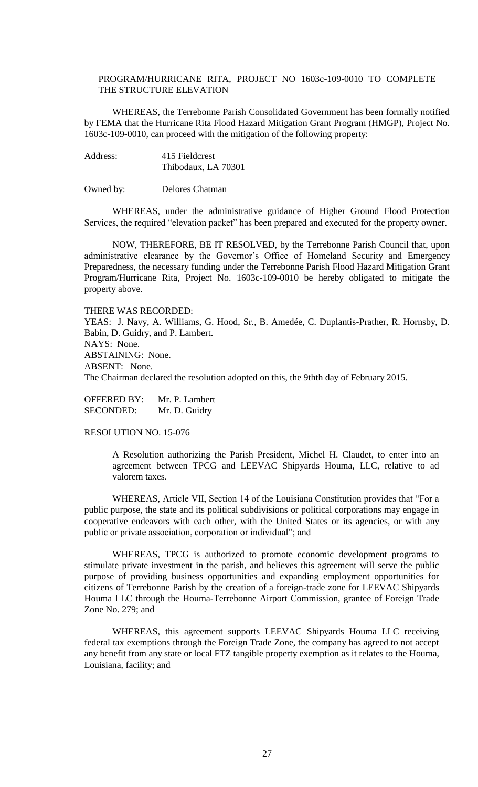## PROGRAM/HURRICANE RITA, PROJECT NO 1603c-109-0010 TO COMPLETE THE STRUCTURE ELEVATION

WHEREAS, the Terrebonne Parish Consolidated Government has been formally notified by FEMA that the Hurricane Rita Flood Hazard Mitigation Grant Program (HMGP), Project No. 1603c-109-0010, can proceed with the mitigation of the following property:

Address: 415 Fieldcrest Thibodaux, LA 70301

Owned by: Delores Chatman

WHEREAS, under the administrative guidance of Higher Ground Flood Protection Services, the required "elevation packet" has been prepared and executed for the property owner.

NOW, THEREFORE, BE IT RESOLVED, by the Terrebonne Parish Council that, upon administrative clearance by the Governor's Office of Homeland Security and Emergency Preparedness, the necessary funding under the Terrebonne Parish Flood Hazard Mitigation Grant Program/Hurricane Rita, Project No. 1603c-109-0010 be hereby obligated to mitigate the property above.

THERE WAS RECORDED:

YEAS: J. Navy, A. Williams, G. Hood, Sr., B. Amedée, C. Duplantis-Prather, R. Hornsby, D. Babin, D. Guidry, and P. Lambert. NAYS: None. ABSTAINING: None. ABSENT: None. The Chairman declared the resolution adopted on this, the 9thth day of February 2015.

OFFERED BY: Mr. P. Lambert SECONDED: Mr. D. Guidry

RESOLUTION NO. 15-076

A Resolution authorizing the Parish President, Michel H. Claudet, to enter into an agreement between TPCG and LEEVAC Shipyards Houma, LLC, relative to ad valorem taxes.

WHEREAS, Article VII, Section 14 of the Louisiana Constitution provides that "For a public purpose, the state and its political subdivisions or political corporations may engage in cooperative endeavors with each other, with the United States or its agencies, or with any public or private association, corporation or individual"; and

WHEREAS, TPCG is authorized to promote economic development programs to stimulate private investment in the parish, and believes this agreement will serve the public purpose of providing business opportunities and expanding employment opportunities for citizens of Terrebonne Parish by the creation of a foreign-trade zone for LEEVAC Shipyards Houma LLC through the Houma-Terrebonne Airport Commission, grantee of Foreign Trade Zone No. 279; and

WHEREAS, this agreement supports LEEVAC Shipyards Houma LLC receiving federal tax exemptions through the Foreign Trade Zone, the company has agreed to not accept any benefit from any state or local FTZ tangible property exemption as it relates to the Houma, Louisiana, facility; and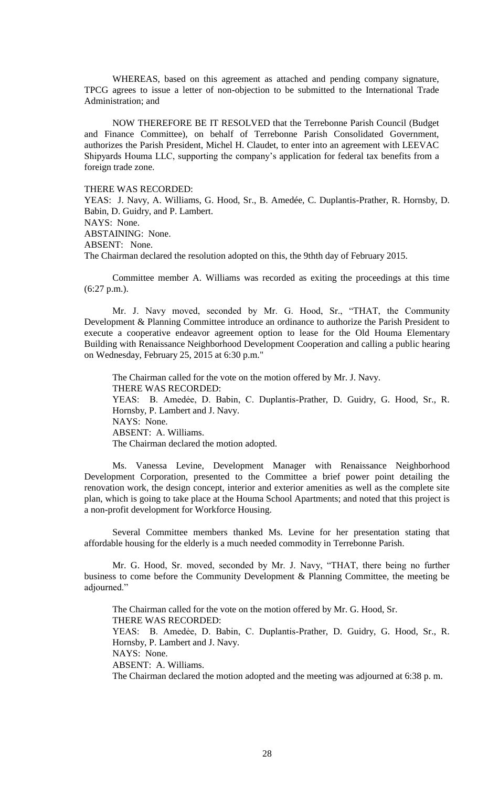WHEREAS, based on this agreement as attached and pending company signature, TPCG agrees to issue a letter of non-objection to be submitted to the International Trade Administration; and

NOW THEREFORE BE IT RESOLVED that the Terrebonne Parish Council (Budget and Finance Committee), on behalf of Terrebonne Parish Consolidated Government, authorizes the Parish President, Michel H. Claudet, to enter into an agreement with LEEVAC Shipyards Houma LLC, supporting the company's application for federal tax benefits from a foreign trade zone.

#### THERE WAS RECORDED:

YEAS: J. Navy, A. Williams, G. Hood, Sr., B. Amedée, C. Duplantis-Prather, R. Hornsby, D. Babin, D. Guidry, and P. Lambert. NAYS: None. ABSTAINING: None.

ABSENT: None.

The Chairman declared the resolution adopted on this, the 9thth day of February 2015.

Committee member A. Williams was recorded as exiting the proceedings at this time (6:27 p.m.).

Mr. J. Navy moved, seconded by Mr. G. Hood, Sr., "THAT, the Community Development & Planning Committee introduce an ordinance to authorize the Parish President to execute a cooperative endeavor agreement option to lease for the Old Houma Elementary Building with Renaissance Neighborhood Development Cooperation and calling a public hearing on Wednesday, February 25, 2015 at 6:30 p.m."

The Chairman called for the vote on the motion offered by Mr. J. Navy. THERE WAS RECORDED: YEAS: B. Amedẻe, D. Babin, C. Duplantis-Prather, D. Guidry, G. Hood, Sr., R. Hornsby, P. Lambert and J. Navy. NAYS: None. ABSENT: A. Williams. The Chairman declared the motion adopted.

Ms. Vanessa Levine, Development Manager with Renaissance Neighborhood Development Corporation, presented to the Committee a brief power point detailing the renovation work, the design concept, interior and exterior amenities as well as the complete site plan, which is going to take place at the Houma School Apartments; and noted that this project is a non-profit development for Workforce Housing.

Several Committee members thanked Ms. Levine for her presentation stating that affordable housing for the elderly is a much needed commodity in Terrebonne Parish.

Mr. G. Hood, Sr. moved, seconded by Mr. J. Navy, "THAT, there being no further business to come before the Community Development & Planning Committee, the meeting be adjourned."

The Chairman called for the vote on the motion offered by Mr. G. Hood, Sr. THERE WAS RECORDED: YEAS: B. Amedẻe, D. Babin, C. Duplantis-Prather, D. Guidry, G. Hood, Sr., R. Hornsby, P. Lambert and J. Navy.

NAYS: None.

ABSENT: A. Williams.

The Chairman declared the motion adopted and the meeting was adjourned at 6:38 p. m.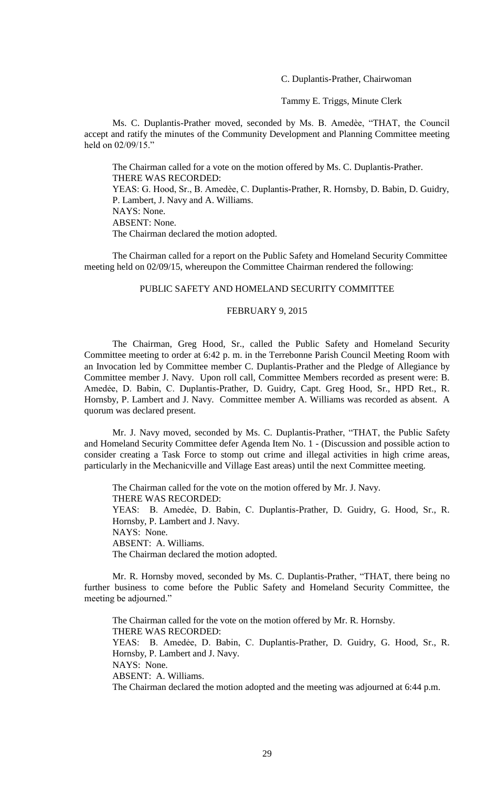C. Duplantis-Prather, Chairwoman

Tammy E. Triggs, Minute Clerk

Ms. C. Duplantis-Prather moved, seconded by Ms. B. Amedèe, "THAT, the Council accept and ratify the minutes of the Community Development and Planning Committee meeting held on  $02/09/15$ ."

The Chairman called for a vote on the motion offered by Ms. C. Duplantis-Prather. THERE WAS RECORDED: YEAS: G. Hood, Sr., B. Amedèe, C. Duplantis-Prather, R. Hornsby, D. Babin, D. Guidry, P. Lambert, J. Navy and A. Williams. NAYS: None. ABSENT: None. The Chairman declared the motion adopted.

The Chairman called for a report on the Public Safety and Homeland Security Committee meeting held on 02/09/15, whereupon the Committee Chairman rendered the following:

#### PUBLIC SAFETY AND HOMELAND SECURITY COMMITTEE

#### FEBRUARY 9, 2015

The Chairman, Greg Hood, Sr., called the Public Safety and Homeland Security Committee meeting to order at 6:42 p. m. in the Terrebonne Parish Council Meeting Room with an Invocation led by Committee member C. Duplantis-Prather and the Pledge of Allegiance by Committee member J. Navy. Upon roll call, Committee Members recorded as present were: B. Amedẻe, D. Babin, C. Duplantis-Prather, D. Guidry, Capt. Greg Hood, Sr., HPD Ret., R. Hornsby, P. Lambert and J. Navy. Committee member A. Williams was recorded as absent. A quorum was declared present.

Mr. J. Navy moved, seconded by Ms. C. Duplantis-Prather, "THAT, the Public Safety and Homeland Security Committee defer Agenda Item No. 1 - (Discussion and possible action to consider creating a Task Force to stomp out crime and illegal activities in high crime areas, particularly in the Mechanicville and Village East areas) until the next Committee meeting.

The Chairman called for the vote on the motion offered by Mr. J. Navy. THERE WAS RECORDED: YEAS: B. Amedẻe, D. Babin, C. Duplantis-Prather, D. Guidry, G. Hood, Sr., R. Hornsby, P. Lambert and J. Navy. NAYS: None. ABSENT: A. Williams. The Chairman declared the motion adopted.

Mr. R. Hornsby moved, seconded by Ms. C. Duplantis-Prather, "THAT, there being no further business to come before the Public Safety and Homeland Security Committee, the meeting be adjourned."

The Chairman called for the vote on the motion offered by Mr. R. Hornsby. THERE WAS RECORDED: YEAS: B. Amedẻe, D. Babin, C. Duplantis-Prather, D. Guidry, G. Hood, Sr., R. Hornsby, P. Lambert and J. Navy. NAYS: None. ABSENT: A. Williams. The Chairman declared the motion adopted and the meeting was adjourned at 6:44 p.m.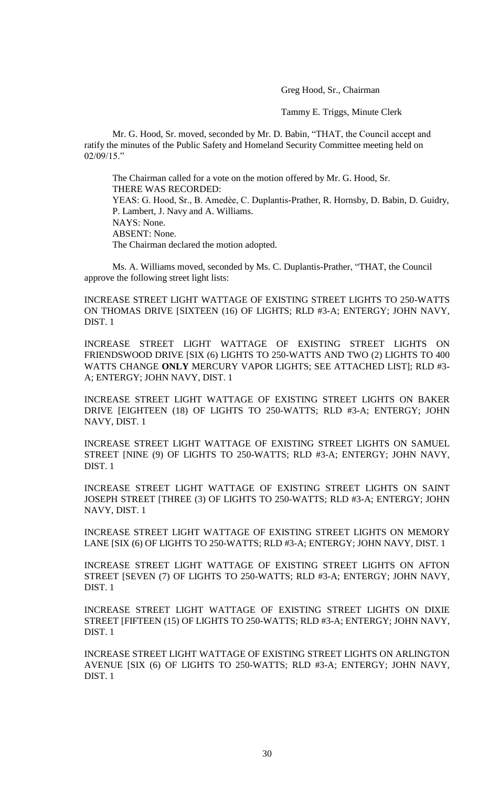Greg Hood, Sr., Chairman

Tammy E. Triggs, Minute Clerk

Mr. G. Hood, Sr. moved, seconded by Mr. D. Babin, "THAT, the Council accept and ratify the minutes of the Public Safety and Homeland Security Committee meeting held on 02/09/15."

The Chairman called for a vote on the motion offered by Mr. G. Hood, Sr. THERE WAS RECORDED: YEAS: G. Hood, Sr., B. Amedèe, C. Duplantis-Prather, R. Hornsby, D. Babin, D. Guidry, P. Lambert, J. Navy and A. Williams. NAYS: None. ABSENT: None. The Chairman declared the motion adopted.

Ms. A. Williams moved, seconded by Ms. C. Duplantis-Prather, "THAT, the Council approve the following street light lists:

INCREASE STREET LIGHT WATTAGE OF EXISTING STREET LIGHTS TO 250-WATTS ON THOMAS DRIVE [SIXTEEN (16) OF LIGHTS; RLD #3-A; ENTERGY; JOHN NAVY, DIST. 1

INCREASE STREET LIGHT WATTAGE OF EXISTING STREET LIGHTS ON FRIENDSWOOD DRIVE [SIX (6) LIGHTS TO 250-WATTS AND TWO (2) LIGHTS TO 400 WATTS CHANGE **ONLY** MERCURY VAPOR LIGHTS; SEE ATTACHED LIST]; RLD #3- A; ENTERGY; JOHN NAVY, DIST. 1

INCREASE STREET LIGHT WATTAGE OF EXISTING STREET LIGHTS ON BAKER DRIVE [EIGHTEEN (18) OF LIGHTS TO 250-WATTS; RLD #3-A; ENTERGY; JOHN NAVY, DIST. 1

INCREASE STREET LIGHT WATTAGE OF EXISTING STREET LIGHTS ON SAMUEL STREET [NINE (9) OF LIGHTS TO 250-WATTS; RLD #3-A; ENTERGY; JOHN NAVY, DIST. 1

INCREASE STREET LIGHT WATTAGE OF EXISTING STREET LIGHTS ON SAINT JOSEPH STREET [THREE (3) OF LIGHTS TO 250-WATTS; RLD #3-A; ENTERGY; JOHN NAVY, DIST. 1

INCREASE STREET LIGHT WATTAGE OF EXISTING STREET LIGHTS ON MEMORY LANE [SIX (6) OF LIGHTS TO 250-WATTS; RLD #3-A; ENTERGY; JOHN NAVY, DIST. 1

INCREASE STREET LIGHT WATTAGE OF EXISTING STREET LIGHTS ON AFTON STREET [SEVEN (7) OF LIGHTS TO 250-WATTS; RLD #3-A; ENTERGY; JOHN NAVY, DIST. 1

INCREASE STREET LIGHT WATTAGE OF EXISTING STREET LIGHTS ON DIXIE STREET [FIFTEEN (15) OF LIGHTS TO 250-WATTS; RLD #3-A; ENTERGY; JOHN NAVY, DIST. 1

INCREASE STREET LIGHT WATTAGE OF EXISTING STREET LIGHTS ON ARLINGTON AVENUE [SIX (6) OF LIGHTS TO 250-WATTS; RLD #3-A; ENTERGY; JOHN NAVY, DIST. 1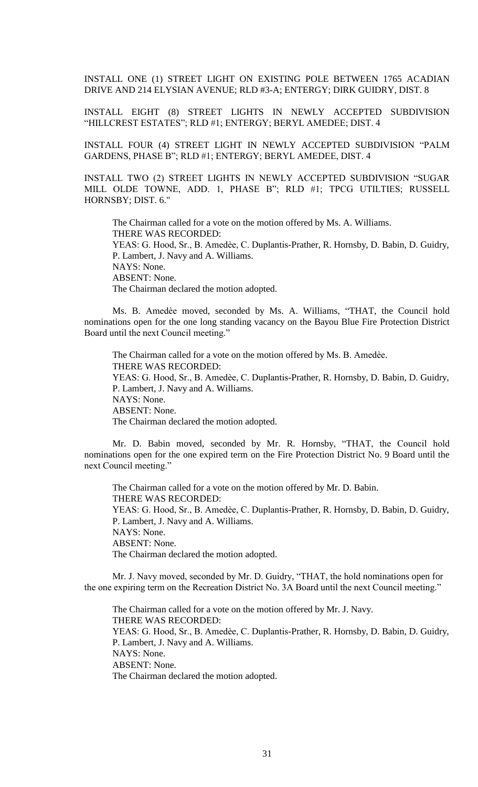INSTALL ONE (1) STREET LIGHT ON EXISTING POLE BETWEEN 1765 ACADIAN DRIVE AND 214 ELYSIAN AVENUE; RLD #3-A; ENTERGY; DIRK GUIDRY, DIST. 8

INSTALL EIGHT (8) STREET LIGHTS IN NEWLY ACCEPTED SUBDIVISION "HILLCREST ESTATES"; RLD #1; ENTERGY; BERYL AMEDEE; DIST. 4

INSTALL FOUR (4) STREET LIGHT IN NEWLY ACCEPTED SUBDIVISION "PALM GARDENS, PHASE B"; RLD #1; ENTERGY; BERYL AMEDEE, DIST. 4

INSTALL TWO (2) STREET LIGHTS IN NEWLY ACCEPTED SUBDIVISION "SUGAR MILL OLDE TOWNE, ADD. 1, PHASE B"; RLD #1; TPCG UTILTIES; RUSSELL HORNSBY; DIST. 6."

The Chairman called for a vote on the motion offered by Ms. A. Williams. THERE WAS RECORDED: YEAS: G. Hood, Sr., B. Amedѐe, C. Duplantis-Prather, R. Hornsby, D. Babin, D. Guidry, P. Lambert, J. Navy and A. Williams. NAYS: None. ABSENT: None. The Chairman declared the motion adopted.

Ms. B. Amedèe moved, seconded by Ms. A. Williams, "THAT, the Council hold nominations open for the one long standing vacancy on the Bayou Blue Fire Protection District Board until the next Council meeting."

The Chairman called for a vote on the motion offered by Ms. B. Amedèe. THERE WAS RECORDED: YEAS: G. Hood, Sr., B. Amedèe, C. Duplantis-Prather, R. Hornsby, D. Babin, D. Guidry, P. Lambert, J. Navy and A. Williams. NAYS: None. ABSENT: None. The Chairman declared the motion adopted.

Mr. D. Babin moved, seconded by Mr. R. Hornsby, "THAT, the Council hold nominations open for the one expired term on the Fire Protection District No. 9 Board until the next Council meeting."

The Chairman called for a vote on the motion offered by Mr. D. Babin. THERE WAS RECORDED: YEAS: G. Hood, Sr., B. Amedèe, C. Duplantis-Prather, R. Hornsby, D. Babin, D. Guidry, P. Lambert, J. Navy and A. Williams. NAYS: None. ABSENT: None. The Chairman declared the motion adopted.

Mr. J. Navy moved, seconded by Mr. D. Guidry, "THAT, the hold nominations open for the one expiring term on the Recreation District No. 3A Board until the next Council meeting."

The Chairman called for a vote on the motion offered by Mr. J. Navy. THERE WAS RECORDED: YEAS: G. Hood, Sr., B. Amedèe, C. Duplantis-Prather, R. Hornsby, D. Babin, D. Guidry, P. Lambert, J. Navy and A. Williams. NAYS: None. ABSENT: None. The Chairman declared the motion adopted.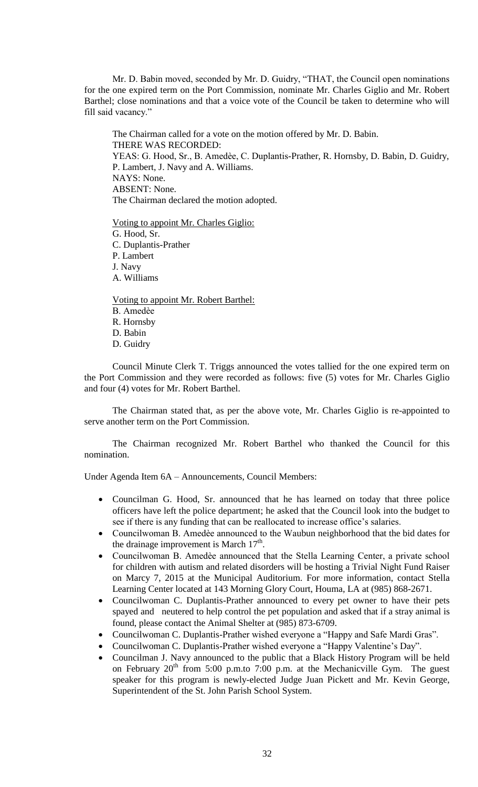Mr. D. Babin moved, seconded by Mr. D. Guidry, "THAT, the Council open nominations for the one expired term on the Port Commission, nominate Mr. Charles Giglio and Mr. Robert Barthel; close nominations and that a voice vote of the Council be taken to determine who will fill said vacancy."

The Chairman called for a vote on the motion offered by Mr. D. Babin. THERE WAS RECORDED: YEAS: G. Hood, Sr., B. Amedèe, C. Duplantis-Prather, R. Hornsby, D. Babin, D. Guidry, P. Lambert, J. Navy and A. Williams. NAYS: None. ABSENT: None. The Chairman declared the motion adopted.

Voting to appoint Mr. Charles Giglio: G. Hood, Sr. C. Duplantis-Prather P. Lambert J. Navy A. Williams

Voting to appoint Mr. Robert Barthel: B. Amedѐe R. Hornsby D. Babin D. Guidry

Council Minute Clerk T. Triggs announced the votes tallied for the one expired term on the Port Commission and they were recorded as follows: five (5) votes for Mr. Charles Giglio and four (4) votes for Mr. Robert Barthel.

The Chairman stated that, as per the above vote, Mr. Charles Giglio is re-appointed to serve another term on the Port Commission.

The Chairman recognized Mr. Robert Barthel who thanked the Council for this nomination.

Under Agenda Item 6A – Announcements, Council Members:

- Councilman G. Hood, Sr. announced that he has learned on today that three police officers have left the police department; he asked that the Council look into the budget to see if there is any funding that can be reallocated to increase office's salaries.
- Councilwoman B. Amedèe announced to the Waubun neighborhood that the bid dates for the drainage improvement is March  $17<sup>th</sup>$ .
- Councilwoman B. Amedѐe announced that the Stella Learning Center, a private school for children with autism and related disorders will be hosting a Trivial Night Fund Raiser on Marcy 7, 2015 at the Municipal Auditorium. For more information, contact Stella Learning Center located at 143 Morning Glory Court, Houma, LA at (985) 868-2671.
- Councilwoman C. Duplantis-Prather announced to every pet owner to have their pets spayed and neutered to help control the pet population and asked that if a stray animal is found, please contact the Animal Shelter at (985) 873-6709.
- Councilwoman C. Duplantis-Prather wished everyone a "Happy and Safe Mardi Gras".
- Councilwoman C. Duplantis-Prather wished everyone a "Happy Valentine's Day".
- Councilman J. Navy announced to the public that a Black History Program will be held on February  $20^{th}$  from 5:00 p.m.to 7:00 p.m. at the Mechanicville Gym. The guest speaker for this program is newly-elected Judge Juan Pickett and Mr. Kevin George, Superintendent of the St. John Parish School System.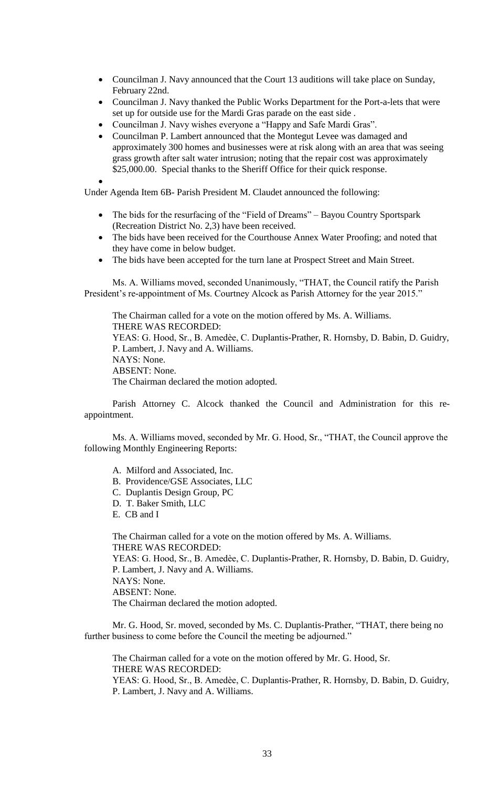- Councilman J. Navy announced that the Court 13 auditions will take place on Sunday, February 22nd.
- Councilman J. Navy thanked the Public Works Department for the Port-a-lets that were set up for outside use for the Mardi Gras parade on the east side .
- Councilman J. Navy wishes everyone a "Happy and Safe Mardi Gras".
- Councilman P. Lambert announced that the Montegut Levee was damaged and approximately 300 homes and businesses were at risk along with an area that was seeing grass growth after salt water intrusion; noting that the repair cost was approximately \$25,000.00. Special thanks to the Sheriff Office for their quick response.
- $\bullet$

Under Agenda Item 6B- Parish President M. Claudet announced the following:

- The bids for the resurfacing of the "Field of Dreams" Bayou Country Sportspark (Recreation District No. 2,3) have been received.
- The bids have been received for the Courthouse Annex Water Proofing; and noted that they have come in below budget.
- The bids have been accepted for the turn lane at Prospect Street and Main Street.

Ms. A. Williams moved, seconded Unanimously, "THAT, the Council ratify the Parish President's re-appointment of Ms. Courtney Alcock as Parish Attorney for the year 2015."

The Chairman called for a vote on the motion offered by Ms. A. Williams. THERE WAS RECORDED: YEAS: G. Hood, Sr., B. Amedèe, C. Duplantis-Prather, R. Hornsby, D. Babin, D. Guidry, P. Lambert, J. Navy and A. Williams. NAYS: None. ABSENT: None. The Chairman declared the motion adopted.

Parish Attorney C. Alcock thanked the Council and Administration for this reappointment.

Ms. A. Williams moved, seconded by Mr. G. Hood, Sr., "THAT, the Council approve the following Monthly Engineering Reports:

- A. Milford and Associated, Inc.
- B. Providence/GSE Associates, LLC
- C. Duplantis Design Group, PC
- D. T. Baker Smith, LLC
- E. CB and I

The Chairman called for a vote on the motion offered by Ms. A. Williams. THERE WAS RECORDED: YEAS: G. Hood, Sr., B. Amedѐe, C. Duplantis-Prather, R. Hornsby, D. Babin, D. Guidry, P. Lambert, J. Navy and A. Williams. NAYS: None. ABSENT: None. The Chairman declared the motion adopted.

Mr. G. Hood, Sr. moved, seconded by Ms. C. Duplantis-Prather, "THAT, there being no further business to come before the Council the meeting be adjourned."

The Chairman called for a vote on the motion offered by Mr. G. Hood, Sr. THERE WAS RECORDED: YEAS: G. Hood, Sr., B. Amedèe, C. Duplantis-Prather, R. Hornsby, D. Babin, D. Guidry,

P. Lambert, J. Navy and A. Williams.